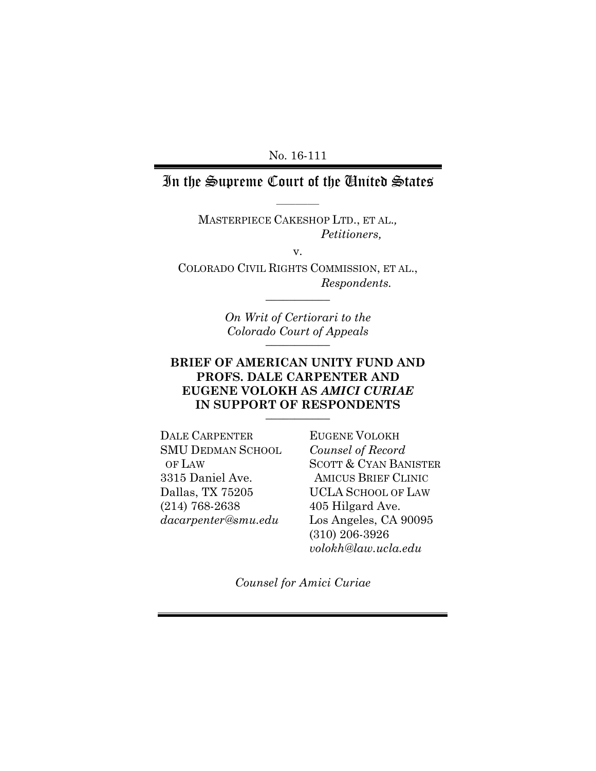#### Calif. Administration of the Courts, and Courts, and Courts, and Courts, and Courts, and Courts, and Courts, and No. 16-111

## In the Supreme Court of the United States  $\overline{\phantom{a}}$

MASTERPIECE CAKESHOP LTD., ET AL.*, Petitioners,*

v.

COLORADO CIVIL RIGHTS COMMISSION, ET AL., *Respondents.*  $\frac{1}{2}$ 

> *On Writ of Certiorari to the Colorado Court of Appeals*  $\overline{\phantom{a}}$

### **BRIEF OF AMERICAN UNITY FUND AND PROFS. DALE CARPENTER AND EUGENE VOLOKH AS** *AMICI CURIAE* **IN SUPPORT OF RESPONDENTS**  $\overline{\phantom{a}}$

DALE CARPENTER SMU DEDMAN SCHOOL OF LAW 3315 Daniel Ave. Dallas, TX 75205 (214) 768-2638 *dacarpenter@smu.edu*

EUGENE VOLOKH *Counsel of Record* SCOTT & CYAN BANISTER AMICUS BRIEF CLINIC UCLA SCHOOL OF LAW 405 Hilgard Ave. Los Angeles, CA 90095 (310) 206-3926 *volokh@law.ucla.edu*

*Counsel for Amici Curiae*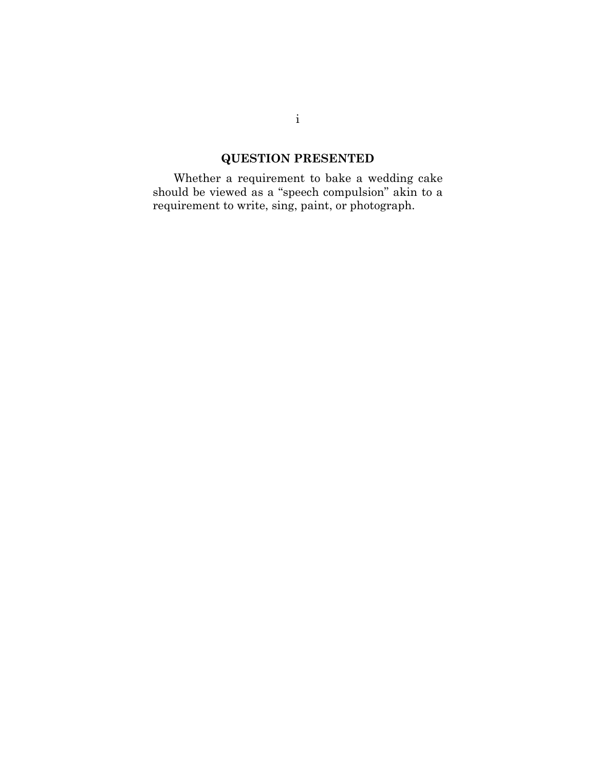# **QUESTION PRESENTED**

<span id="page-1-0"></span>id be viewed as a speech compuis Whether a requirement to bake a wedding cake should be viewed as a "speech compulsion" akin to a requirement to write, sing, paint, or photograph.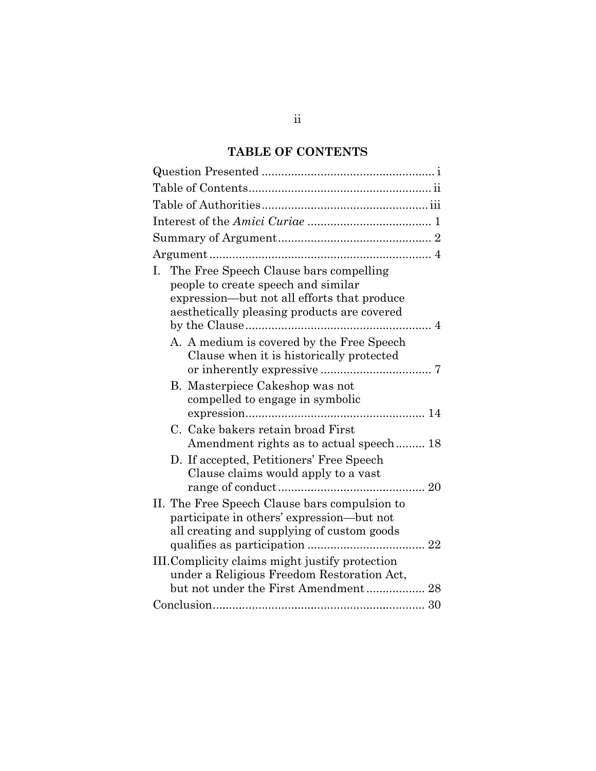## **TABLE OF CONTENTS**

<span id="page-2-0"></span>

| The Free Speech Clause bars compelling<br>Ι.<br>people to create speech and similar<br>expression—but not all efforts that produce<br>aesthetically pleasing products are covered<br>A. A medium is covered by the Free Speech |
|--------------------------------------------------------------------------------------------------------------------------------------------------------------------------------------------------------------------------------|
|                                                                                                                                                                                                                                |
|                                                                                                                                                                                                                                |
|                                                                                                                                                                                                                                |
|                                                                                                                                                                                                                                |
|                                                                                                                                                                                                                                |
|                                                                                                                                                                                                                                |
| Clause when it is historically protected                                                                                                                                                                                       |
| B. Masterpiece Cakeshop was not<br>compelled to engage in symbolic                                                                                                                                                             |
| C. Cake bakers retain broad First<br>Amendment rights as to actual speech 18                                                                                                                                                   |
| D. If accepted, Petitioners' Free Speech<br>Clause claims would apply to a vast                                                                                                                                                |
| II. The Free Speech Clause bars compulsion to<br>participate in others' expression—but not<br>all creating and supplying of custom goods                                                                                       |
| III. Complicity claims might justify protection<br>under a Religious Freedom Restoration Act,<br>but not under the First Amendment 28                                                                                          |
|                                                                                                                                                                                                                                |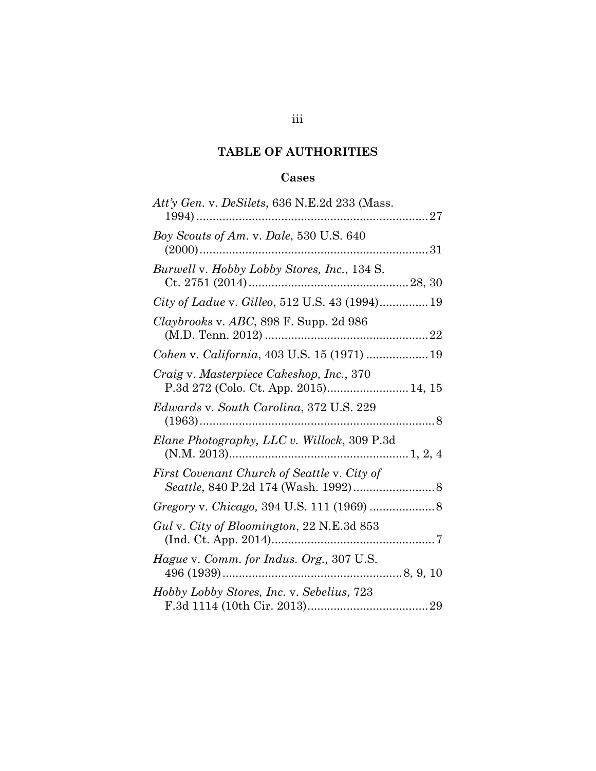## **TABLE OF AUTHORITIES**

## **Cases**

<span id="page-3-0"></span>

| Att'y Gen. v. DeSilets, 636 N.E.2d 233 (Mass.                                     |
|-----------------------------------------------------------------------------------|
| Boy Scouts of Am. v. Dale, 530 U.S. 640                                           |
| Burwell v. Hobby Lobby Stores, Inc., 134 S.                                       |
| City of Ladue v. Gilleo, 512 U.S. 43 (1994) 19                                    |
| Claybrooks v. ABC, 898 F. Supp. 2d 986                                            |
| Cohen v. California, 403 U.S. 15 (1971)  19                                       |
| Craig v. Masterpiece Cakeshop, Inc., 370<br>P.3d 272 (Colo. Ct. App. 2015) 14, 15 |
| Edwards v. South Carolina, 372 U.S. 229                                           |
| Elane Photography, LLC v. Willock, 309 P.3d                                       |
| First Covenant Church of Seattle v. City of                                       |
|                                                                                   |
| Gul v. City of Bloomington, 22 N.E.3d 853                                         |
| Hague v. Comm. for Indus. Org., 307 U.S.                                          |
| Hobby Lobby Stores, Inc. v. Sebelius, 723                                         |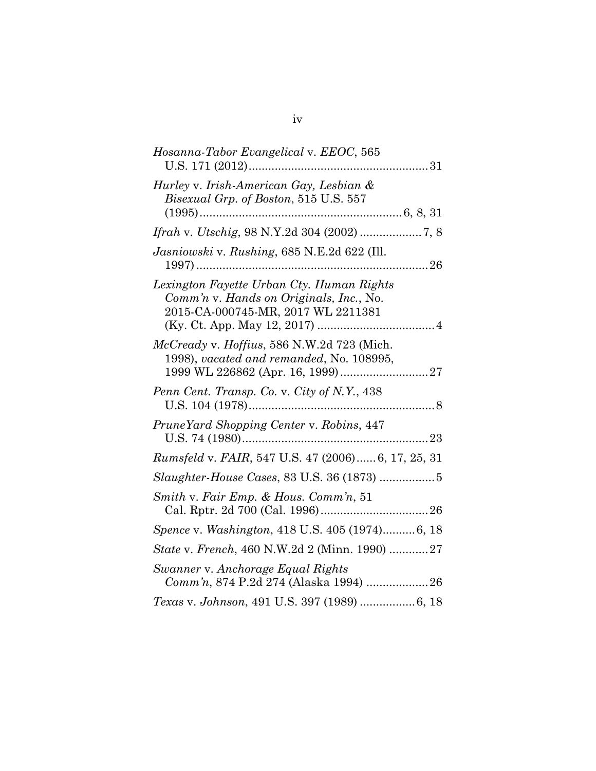| Hosanna-Tabor Evangelical v. EEOC, 565                                                                                     |
|----------------------------------------------------------------------------------------------------------------------------|
| Hurley v. Irish-American Gay, Lesbian &<br><i>Bisexual Grp. of Boston,</i> 515 U.S. 557<br>$(1995)$                        |
|                                                                                                                            |
| Jasniowski v. Rushing, 685 N.E.2d 622 (Ill.<br>. 26                                                                        |
| Lexington Fayette Urban Cty. Human Rights<br>Comm'n v. Hands on Originals, Inc., No.<br>2015-CA-000745-MR, 2017 WL 2211381 |
| McCready v. Hoffius, 586 N.W.2d 723 (Mich.<br>1998), vacated and remanded, No. 108995,                                     |
| Penn Cent. Transp. Co. v. City of N.Y., 438<br>8<br>U.S. 104 (1978)                                                        |
| PruneYard Shopping Center v. Robins, 447                                                                                   |
| Rumsfeld v. FAIR, 547 U.S. 47 (2006) 6, 17, 25, 31                                                                         |
|                                                                                                                            |
| Smith v. Fair Emp. & Hous. Comm'n, 51                                                                                      |
| Spence v. Washington, 418 U.S. 405 (1974) 6, 18                                                                            |
| State v. French, 460 N.W.2d 2 (Minn. 1990) 27                                                                              |
| Swanner v. Anchorage Equal Rights<br>Comm'n, 874 P.2d 274 (Alaska 1994)  26                                                |
| Texas v. Johnson, 491 U.S. 397 (1989)  6, 18                                                                               |
|                                                                                                                            |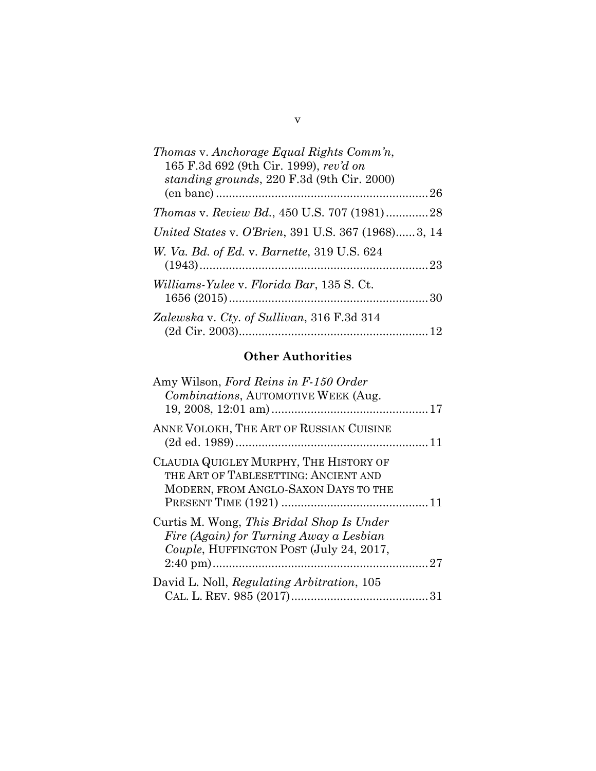| Thomas v. Anchorage Equal Rights Comm'n,<br>165 F.3d 692 (9th Cir. 1999), rev'd on<br>standing grounds, 220 F.3d (9th Cir. 2000) |  |
|----------------------------------------------------------------------------------------------------------------------------------|--|
|                                                                                                                                  |  |
| <i>Thomas v. Review Bd., 450 U.S. 707 (1981)28</i>                                                                               |  |
| United States v. O'Brien, 391 U.S. 367 (1968)3, 14                                                                               |  |
| <i>W. Va. Bd. of Ed. v. Barnette, 319 U.S. 624</i>                                                                               |  |
| Williams-Yulee v. Florida Bar, 135 S. Ct.                                                                                        |  |
| Zalewska v. Cty. of Sullivan, 316 F.3d 314                                                                                       |  |

## **Other Authorities**

| Amy Wilson, Ford Reins in F-150 Order<br>Combinations, AUTOMOTIVE WEEK (Aug.                                                    |  |
|---------------------------------------------------------------------------------------------------------------------------------|--|
| ANNE VOLOKH, THE ART OF RUSSIAN CUISINE                                                                                         |  |
| CLAUDIA QUIGLEY MURPHY, THE HISTORY OF<br>THE ART OF TABLESETTING: ANCIENT AND<br>MODERN, FROM ANGLO-SAXON DAYS TO THE          |  |
| Curtis M. Wong, This Bridal Shop Is Under<br>Fire (Again) for Turning Away a Lesbian<br>Couple, HUFFINGTON POST (July 24, 2017, |  |
| David L. Noll, Regulating Arbitration, 105                                                                                      |  |

v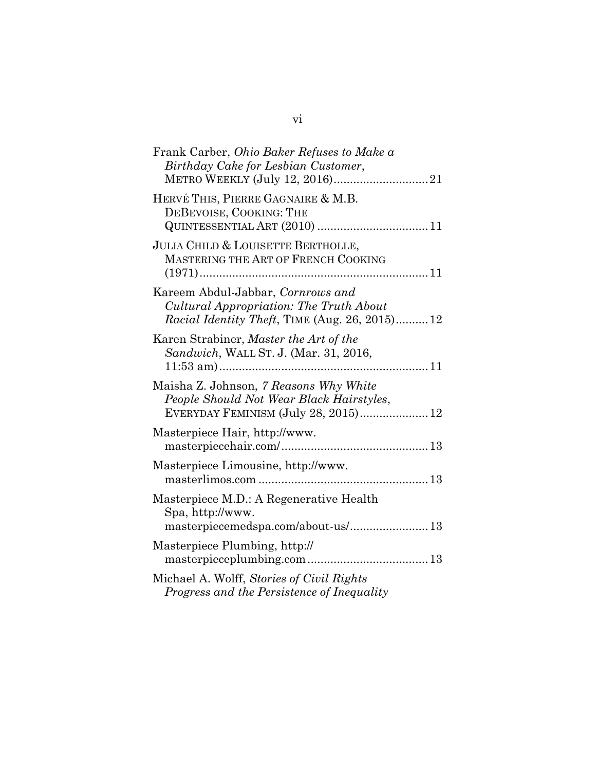| Frank Carber, Ohio Baker Refuses to Make a<br>Birthday Cake for Lesbian Customer,<br>METRO WEEKLY (July 12, 2016)21                                                                                                                                                                                                                                                                                                                                                                  |
|--------------------------------------------------------------------------------------------------------------------------------------------------------------------------------------------------------------------------------------------------------------------------------------------------------------------------------------------------------------------------------------------------------------------------------------------------------------------------------------|
| HERVÉ THIS, PIERRE GAGNAIRE & M.B.<br>DEBEVOISE, COOKING: THE                                                                                                                                                                                                                                                                                                                                                                                                                        |
| JULIA CHILD & LOUISETTE BERTHOLLE,<br>MASTERING THE ART OF FRENCH COOKING                                                                                                                                                                                                                                                                                                                                                                                                            |
| Kareem Abdul-Jabbar, Cornrows and<br>Cultural Appropriation: The Truth About<br>Racial Identity Theft, TIME (Aug. 26, 2015) 12                                                                                                                                                                                                                                                                                                                                                       |
| Karen Strabiner, Master the Art of the<br>Sandwich, WALL ST. J. (Mar. 31, 2016,                                                                                                                                                                                                                                                                                                                                                                                                      |
| Maisha Z. Johnson, 7 Reasons Why White<br>People Should Not Wear Black Hairstyles,<br>EVERYDAY FEMINISM (July 28, 2015) 12                                                                                                                                                                                                                                                                                                                                                           |
| Masterpiece Hair, http://www.<br>$\small{\texttt{masterpiecehair.com}/\dots\hspace{-1.5mm}\ldots\hspace{-1.5mm}\ldots\hspace{-1.5mm}\ldots\hspace{-1.5mm}\ldots\hspace{-1.5mm}\ldots\hspace{-1.5mm}\ldots\hspace{-1.5mm}\ldots\hspace{-1.5mm}\ldots\hspace{-1.5mm}\ldots\hspace{-1.5mm}\ldots\hspace{-1.5mm}\ldots\hspace{-1.5mm}\ldots\hspace{-1.5mm}\ldots\hspace{-1.5mm}\ldots\hspace{-1.5mm}\ldots\hspace{-1.5mm}\ldots\hspace{-1.5mm}\ldots\hspace{-1.5mm}\ldots\hspace{-1.5mm$ |
| Masterpiece Limousine, http://www.                                                                                                                                                                                                                                                                                                                                                                                                                                                   |
| Masterpiece M.D.: A Regenerative Health<br>Spa, http://www.<br>$\small{\texttt{masterpiecemedspa.com/about-us/}\,13}$                                                                                                                                                                                                                                                                                                                                                                |
| Masterpiece Plumbing, http://                                                                                                                                                                                                                                                                                                                                                                                                                                                        |
| Michael A. Wolff, Stories of Civil Rights<br>Progress and the Persistence of Inequality                                                                                                                                                                                                                                                                                                                                                                                              |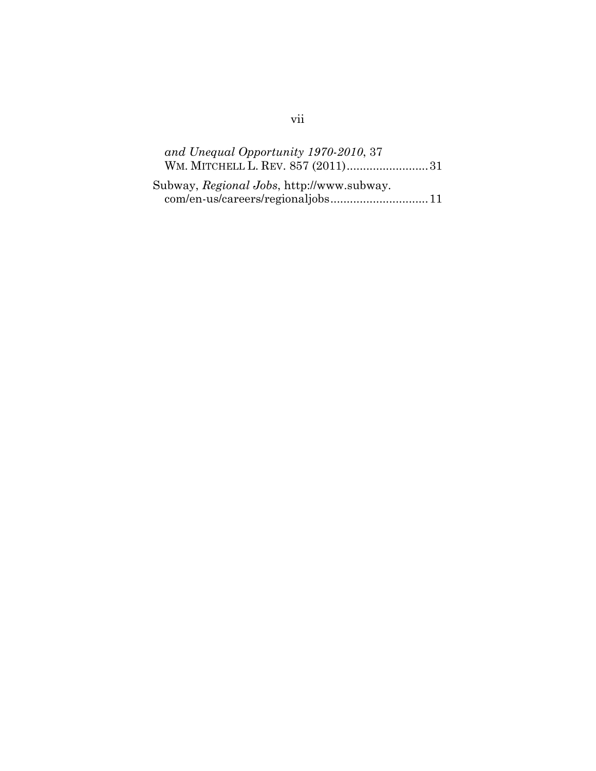| and Unequal Opportunity 1970-2010, 37     |  |
|-------------------------------------------|--|
| WM. MITCHELL L. REV. 857 (2011)31         |  |
| Subway, Regional Jobs, http://www.subway. |  |
| com/en-us/careers/regionaljobs11          |  |

# vii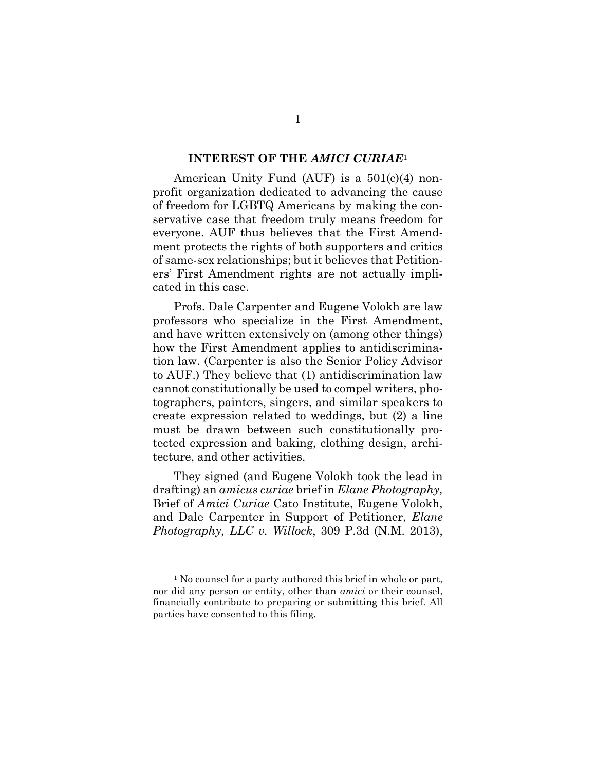#### **INTEREST OF THE** *AMICI CURIAE*<sup>1</sup>

<span id="page-8-0"></span>profit organization dedicated to advancing the cause American Unity Fund (AUF) is a  $501(c)(4)$  nonof freedom for LGBTQ Americans by making the conservative case that freedom truly means freedom for everyone. AUF thus believes that the First Amendment protects the rights of both supporters and critics of same-sex relationships; but it believes that Petitioners' First Amendment rights are not actually implicated in this case.

Profs. Dale Carpenter and Eugene Volokh are law professors who specialize in the First Amendment, and have written extensively on (among other things) how the First Amendment applies to antidiscrimination law. (Carpenter is also the Senior Policy Advisor to AUF.) They believe that (1) antidiscrimination law cannot constitutionally be used to compel writers, photographers, painters, singers, and similar speakers to create expression related to weddings, but (2) a line must be drawn between such constitutionally protected expression and baking, clothing design, architecture, and other activities.

They signed (and Eugene Volokh took the lead in drafting) an *amicus curiae* brief in *Elane Photography,* Brief of *Amici Curiae* Cato Institute, Eugene Volokh, and Dale Carpenter in Support of Petitioner, *Elane Photography, LLC v. Willock*, 309 P.3d (N.M. 2013),

<sup>&</sup>lt;sup>1</sup> No counsel for a party authored this brief in whole or part, nor did any person or entity, other than *amici* or their counsel, financially contribute to preparing or submitting this brief. All parties have consented to this filing.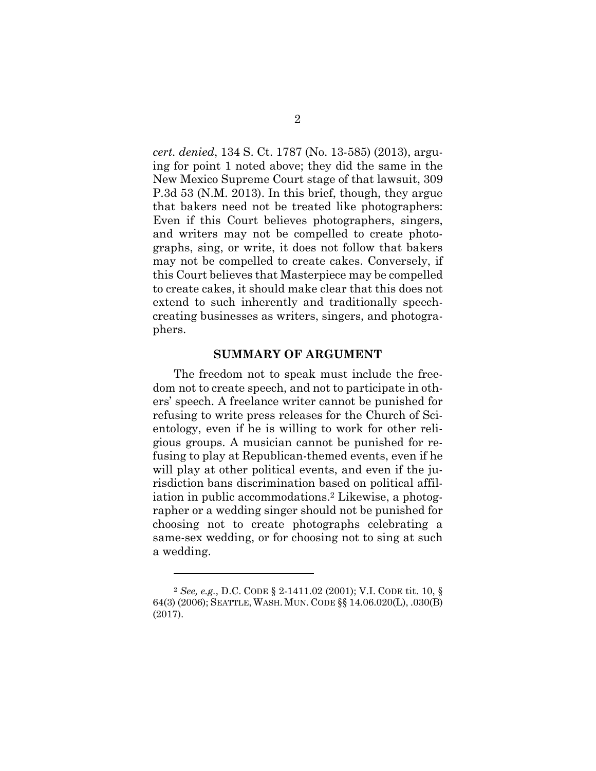*cert. denied*, 134 S. Ct. 1787 (No. 13-585) (2013), arguing for point 1 noted above; they did the same in the New Mexico Supreme Court stage of that lawsuit, 309 P.3d 53 (N.M. 2013). In this brief, though, they argue that bakers need not be treated like photographers: Even if this Court believes photographers, singers, and writers may not be compelled to create photographs, sing, or write, it does not follow that bakers may not be compelled to create cakes. Conversely, if this Court believes that Masterpiece may be compelled to create cakes, it should make clear that this does not extend to such inherently and traditionally speechcreating businesses as writers, singers, and photographers.

#### **SUMMARY OF ARGUMENT**

<span id="page-9-0"></span>The freedom not to speak must include the freedom not to create speech, and not to participate in others' speech. A freelance writer cannot be punished for refusing to write press releases for the Church of Scientology, even if he is willing to work for other religious groups. A musician cannot be punished for refusing to play at Republican-themed events, even if he will play at other political events, and even if the jurisdiction bans discrimination based on political affiliation in public accommodations.<sup>2</sup> Likewise, a photographer or a wedding singer should not be punished for choosing not to create photographs celebrating a same-sex wedding, or for choosing not to sing at such a wedding.

<sup>2</sup> *See, e.g.*, D.C. CODE § 2-1411.02 (2001); V.I. CODE tit. 10, § 64(3) (2006); SEATTLE, WASH. MUN. CODE §§ 14.06.020(L), .030(B) (2017).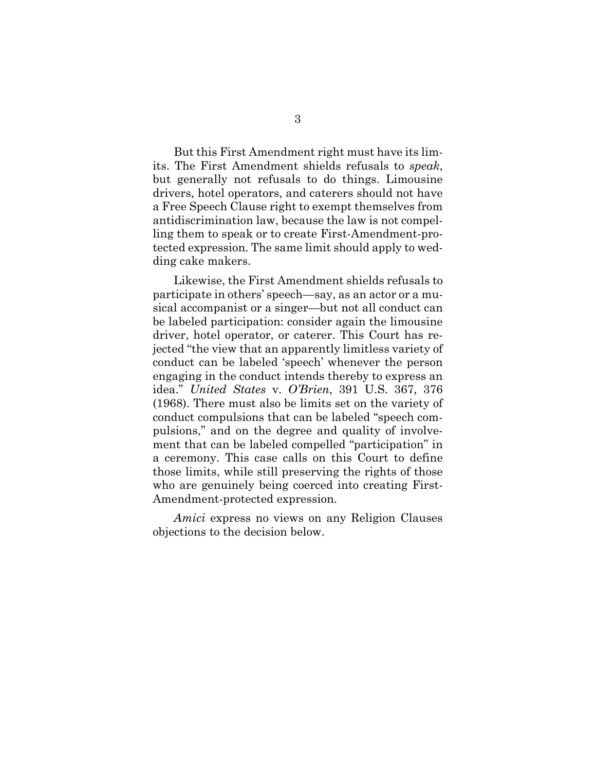But this First Amendment right must have its limits. The First Amendment shields refusals to *speak*, but generally not refusals to do things. Limousine drivers, hotel operators, and caterers should not have a Free Speech Clause right to exempt themselves from antidiscrimination law, because the law is not compelling them to speak or to create First-Amendment-protected expression. The same limit should apply to wedding cake makers.

Likewise, the First Amendment shields refusals to participate in others' speech—say, as an actor or a musical accompanist or a singer—but not all conduct can be labeled participation: consider again the limousine driver, hotel operator, or caterer. This Court has rejected "the view that an apparently limitless variety of conduct can be labeled 'speech' whenever the person engaging in the conduct intends thereby to express an idea." *United States* v. *O'Brien*, 391 U.S. 367, 376 (1968). There must also be limits set on the variety of conduct compulsions that can be labeled "speech compulsions," and on the degree and quality of involvement that can be labeled compelled "participation" in a ceremony. This case calls on this Court to define those limits, while still preserving the rights of those who are genuinely being coerced into creating First-Amendment-protected expression.

*Amici* express no views on any Religion Clauses objections to the decision below.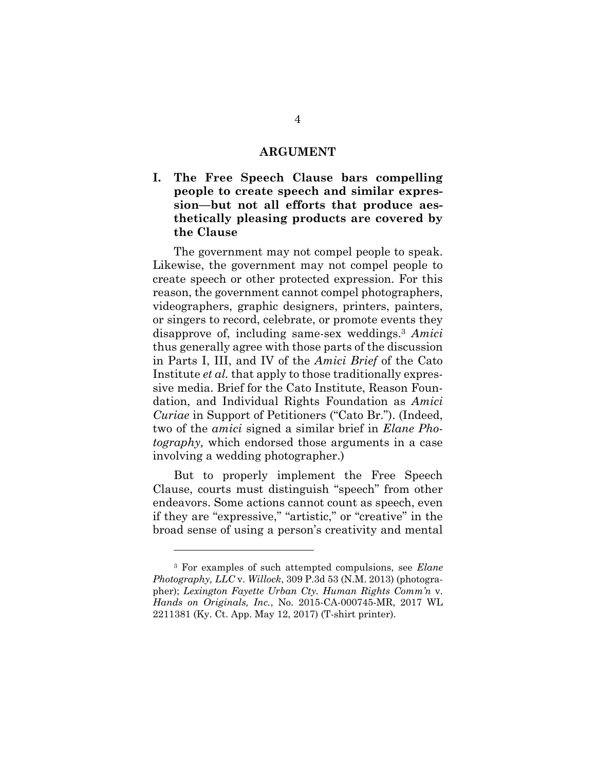#### **ARGUMENT**

<span id="page-11-1"></span><span id="page-11-0"></span>**I. The Free Speech Clause bars compelling people to create speech and similar expression—but not all efforts that produce aesthetically pleasing products are covered by the Clause**

The government may not compel people to speak. Likewise, the government may not compel people to create speech or other protected expression. For this reason, the government cannot compel photographers, videographers, graphic designers, printers, painters, or singers to record, celebrate, or promote events they disapprove of, including same-sex weddings.<sup>3</sup> *Amici* thus generally agree with those parts of the discussion in Parts I, III, and IV of the *Amici Brief* of the Cato Institute *et al.* that apply to those traditionally expressive media. Brief for the Cato Institute, Reason Foundation, and Individual Rights Foundation as *Amici Curiae* in Support of Petitioners ("Cato Br."). (Indeed, two of the *amici* signed a similar brief in *Elane Photography,* which endorsed those arguments in a case involving a wedding photographer.)

But to properly implement the Free Speech Clause, courts must distinguish "speech" from other endeavors. Some actions cannot count as speech, even if they are "expressive," "artistic," or "creative" in the broad sense of using a person's creativity and mental

<sup>3</sup> For examples of such attempted compulsions, see *Elane Photography, LLC* v. *Willock*, 309 P.3d 53 (N.M. 2013) (photographer); *Lexington Fayette Urban Cty. Human Rights Comm'n* v. *Hands on Originals, Inc.*, No. 2015-CA-000745-MR, 2017 WL 2211381 (Ky. Ct. App. May 12, 2017) (T-shirt printer).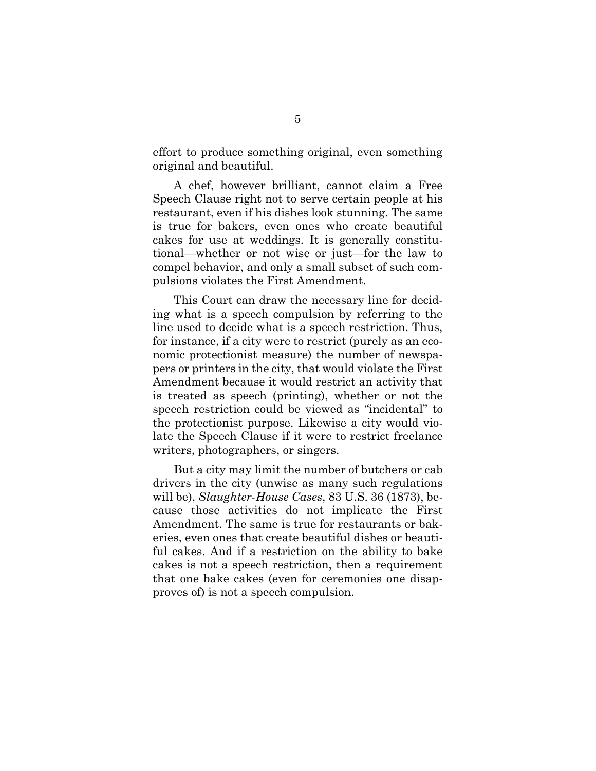effort to produce something original, even something original and beautiful.

A chef, however brilliant, cannot claim a Free Speech Clause right not to serve certain people at his restaurant, even if his dishes look stunning. The same is true for bakers, even ones who create beautiful cakes for use at weddings. It is generally constitutional—whether or not wise or just—for the law to compel behavior, and only a small subset of such compulsions violates the First Amendment.

This Court can draw the necessary line for deciding what is a speech compulsion by referring to the line used to decide what is a speech restriction. Thus, for instance, if a city were to restrict (purely as an economic protectionist measure) the number of newspapers or printers in the city, that would violate the First Amendment because it would restrict an activity that is treated as speech (printing), whether or not the speech restriction could be viewed as "incidental" to the protectionist purpose. Likewise a city would violate the Speech Clause if it were to restrict freelance writers, photographers, or singers.

But a city may limit the number of butchers or cab drivers in the city (unwise as many such regulations will be), *Slaughter-House Cases*, 83 U.S. 36 (1873), because those activities do not implicate the First Amendment. The same is true for restaurants or bakeries, even ones that create beautiful dishes or beautiful cakes. And if a restriction on the ability to bake cakes is not a speech restriction, then a requirement that one bake cakes (even for ceremonies one disapproves of) is not a speech compulsion.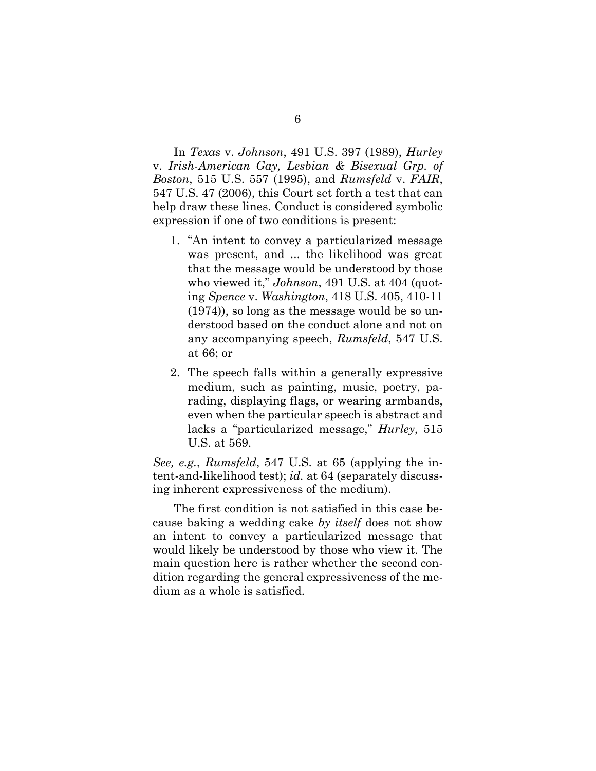In *Texas* v. *Johnson*, 491 U.S. 397 (1989), *Hurley* v. *Irish-American Gay, Lesbian & Bisexual Grp. of Boston*, 515 U.S. 557 (1995), and *Rumsfeld* v. *FAIR*, 547 U.S. 47 (2006), this Court set forth a test that can help draw these lines. Conduct is considered symbolic expression if one of two conditions is present:

- 1. "An intent to convey a particularized message was present, and ... the likelihood was great that the message would be understood by those who viewed it," *Johnson*, 491 U.S. at 404 (quoting *Spence* v. *Washington*, 418 U.S. 405, 410-11 (1974)), so long as the message would be so understood based on the conduct alone and not on any accompanying speech, *Rumsfeld*, 547 U.S. at 66; or
- 2. The speech falls within a generally expressive medium, such as painting, music, poetry, parading, displaying flags, or wearing armbands, even when the particular speech is abstract and lacks a "particularized message," *Hurley*, 515 U.S. at 569.

*See, e.g.*, *Rumsfeld*, 547 U.S. at 65 (applying the intent-and-likelihood test); *id.* at 64 (separately discussing inherent expressiveness of the medium).

The first condition is not satisfied in this case because baking a wedding cake *by itself* does not show an intent to convey a particularized message that would likely be understood by those who view it. The main question here is rather whether the second condition regarding the general expressiveness of the medium as a whole is satisfied.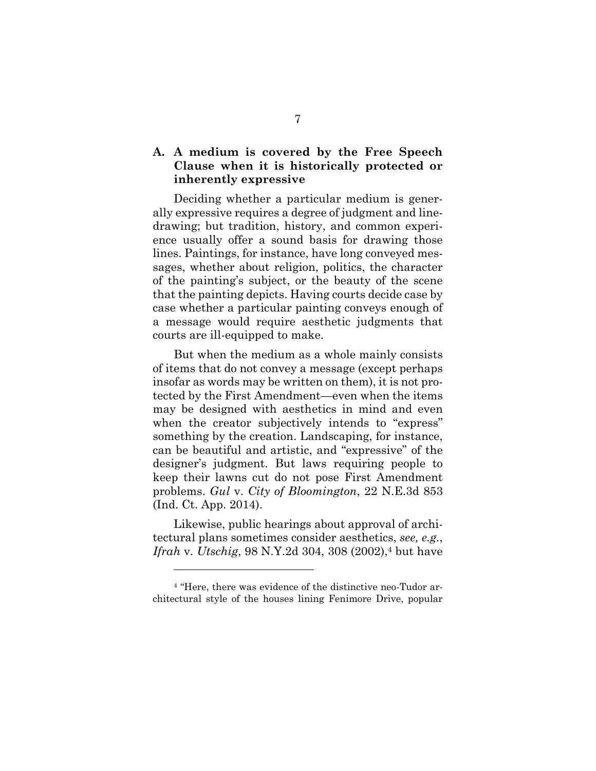## <span id="page-14-0"></span>**A. A medium is covered by the Free Speech Clause when it is historically protected or inherently expressive**

Deciding whether a particular medium is generally expressive requires a degree of judgment and linedrawing; but tradition, history, and common experience usually offer a sound basis for drawing those lines. Paintings, for instance, have long conveyed messages, whether about religion, politics, the character of the painting's subject, or the beauty of the scene that the painting depicts. Having courts decide case by case whether a particular painting conveys enough of a message would require aesthetic judgments that courts are ill-equipped to make.

But when the medium as a whole mainly consists of items that do not convey a message (except perhaps insofar as words may be written on them), it is not protected by the First Amendment—even when the items may be designed with aesthetics in mind and even when the creator subjectively intends to "express" something by the creation. Landscaping, for instance, can be beautiful and artistic, and "expressive" of the designer's judgment. But laws requiring people to keep their lawns cut do not pose First Amendment problems. *Gul* v. *City of Bloomington*, 22 N.E.3d 853 (Ind. Ct. App. 2014).

Likewise, public hearings about approval of architectural plans sometimes consider aesthetics, *see, e.g.*, *Ifrah* v. *Utschig*, 98 N.Y.2d 304, 308 (2002), <sup>4</sup> but have

<sup>4</sup> "Here, there was evidence of the distinctive neo-Tudor architectural style of the houses lining Fenimore Drive, popular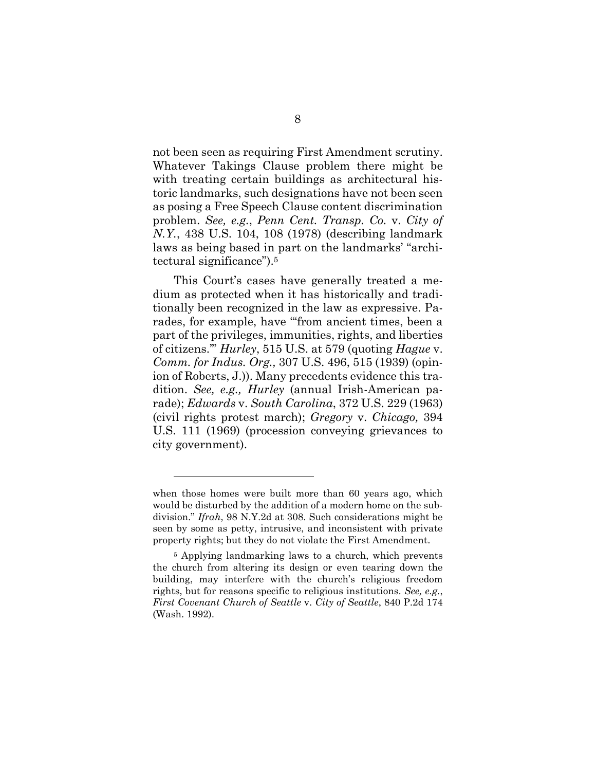not been seen as requiring First Amendment scrutiny. Whatever Takings Clause problem there might be with treating certain buildings as architectural historic landmarks, such designations have not been seen as posing a Free Speech Clause content discrimination problem. *See, e.g.*, *Penn Cent. Transp. Co.* v. *City of N.Y.*, 438 U.S. 104, 108 (1978) (describing landmark laws as being based in part on the landmarks' "architectural significance").<sup>5</sup>

This Court's cases have generally treated a medium as protected when it has historically and traditionally been recognized in the law as expressive. Parades, for example, have "'from ancient times, been a part of the privileges, immunities, rights, and liberties of citizens.'" *Hurley*, 515 U.S. at 579 (quoting *Hague* v. *Comm. for Indus. Org.,* 307 U.S. 496, 515 (1939) (opinion of Roberts, J.)). Many precedents evidence this tradition. *See, e.g., Hurley* (annual Irish-American parade); *Edwards* v. *South Carolina*, 372 U.S. 229 (1963) (civil rights protest march); *Gregory* v. *Chicago,* 394 U.S. 111 (1969) (procession conveying grievances to city government).

when those homes were built more than 60 years ago, which would be disturbed by the addition of a modern home on the subdivision." *Ifrah*, 98 N.Y.2d at 308. Such considerations might be seen by some as petty, intrusive, and inconsistent with private property rights; but they do not violate the First Amendment.

<sup>5</sup> Applying landmarking laws to a church, which prevents the church from altering its design or even tearing down the building, may interfere with the church's religious freedom rights, but for reasons specific to religious institutions. *See, e.g.*, *First Covenant Church of Seattle* v. *City of Seattle*, 840 P.2d 174 (Wash. 1992).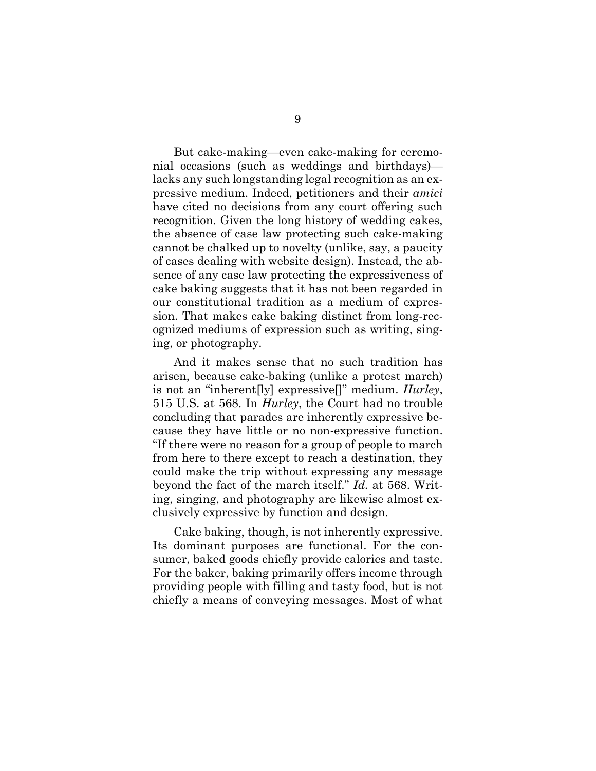But cake-making—even cake-making for ceremonial occasions (such as weddings and birthdays) lacks any such longstanding legal recognition as an expressive medium. Indeed, petitioners and their *amici* have cited no decisions from any court offering such recognition. Given the long history of wedding cakes, the absence of case law protecting such cake-making cannot be chalked up to novelty (unlike, say, a paucity of cases dealing with website design). Instead, the absence of any case law protecting the expressiveness of cake baking suggests that it has not been regarded in our constitutional tradition as a medium of expression. That makes cake baking distinct from long-recognized mediums of expression such as writing, singing, or photography.

And it makes sense that no such tradition has arisen, because cake-baking (unlike a protest march) is not an "inherent[ly] expressive[]" medium. *Hurley*, 515 U.S. at 568. In *Hurley*, the Court had no trouble concluding that parades are inherently expressive because they have little or no non-expressive function. "If there were no reason for a group of people to march from here to there except to reach a destination, they could make the trip without expressing any message beyond the fact of the march itself." *Id.* at 568. Writing, singing, and photography are likewise almost exclusively expressive by function and design.

Cake baking, though, is not inherently expressive. Its dominant purposes are functional. For the consumer, baked goods chiefly provide calories and taste. For the baker, baking primarily offers income through providing people with filling and tasty food, but is not chiefly a means of conveying messages. Most of what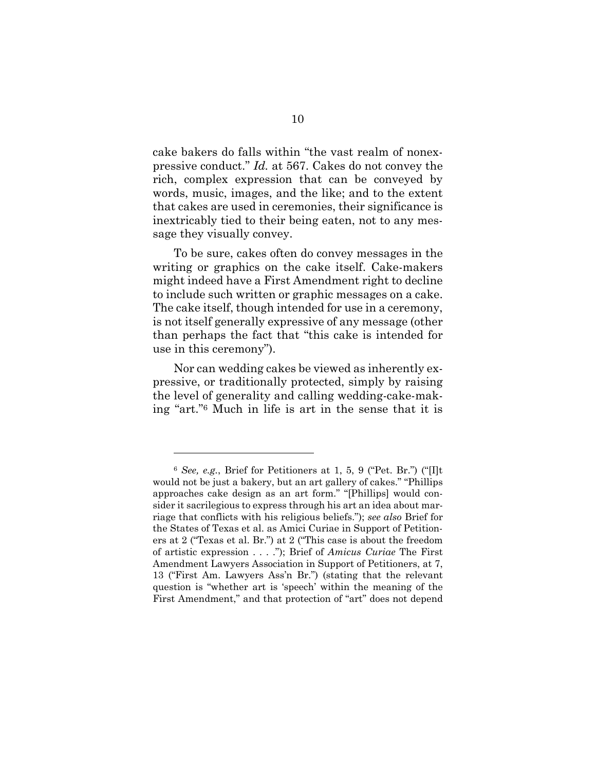cake bakers do falls within "the vast realm of nonexpressive conduct." *Id.* at 567. Cakes do not convey the rich, complex expression that can be conveyed by words, music, images, and the like; and to the extent that cakes are used in ceremonies, their significance is inextricably tied to their being eaten, not to any message they visually convey.

To be sure, cakes often do convey messages in the writing or graphics on the cake itself. Cake-makers might indeed have a First Amendment right to decline to include such written or graphic messages on a cake. The cake itself, though intended for use in a ceremony, is not itself generally expressive of any message (other than perhaps the fact that "this cake is intended for use in this ceremony").

Nor can wedding cakes be viewed as inherently expressive, or traditionally protected, simply by raising the level of generality and calling wedding-cake-making "art." <sup>6</sup> Much in life is art in the sense that it is

<sup>6</sup> *See, e.g.*, Brief for Petitioners at 1, 5, 9 ("Pet. Br.") ("[I]t would not be just a bakery, but an art gallery of cakes." "Phillips approaches cake design as an art form." "[Phillips] would consider it sacrilegious to express through his art an idea about marriage that conflicts with his religious beliefs."); *see also* Brief for the States of Texas et al. as Amici Curiae in Support of Petitioners at 2 ("Texas et al. Br.") at 2 ("This case is about the freedom of artistic expression . . . ."); Brief of *Amicus Curiae* The First Amendment Lawyers Association in Support of Petitioners, at 7, 13 ("First Am. Lawyers Ass'n Br.") (stating that the relevant question is "whether art is 'speech' within the meaning of the First Amendment," and that protection of "art" does not depend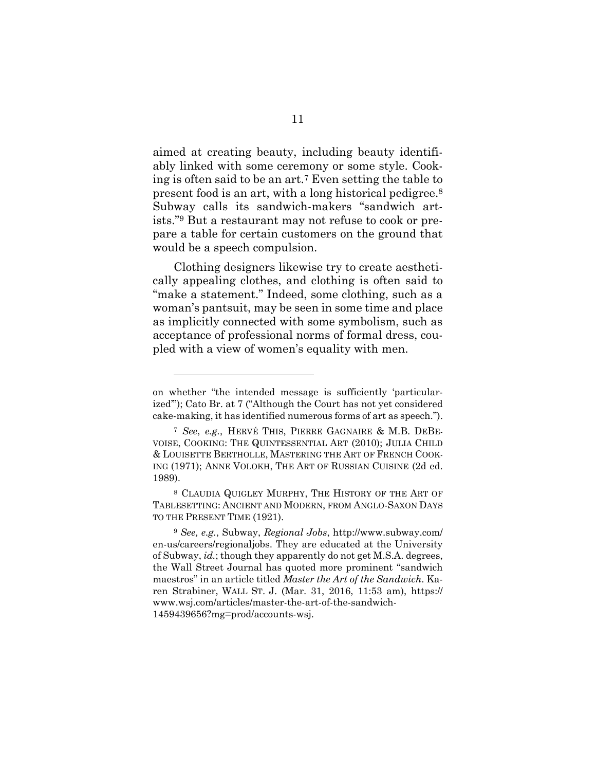aimed at creating beauty, including beauty identifiably linked with some ceremony or some style. Cooking is often said to be an art.<sup>7</sup> Even setting the table to present food is an art, with a long historical pedigree.<sup>8</sup> Subway calls its sandwich-makers "sandwich artists." <sup>9</sup> But a restaurant may not refuse to cook or prepare a table for certain customers on the ground that would be a speech compulsion.

Clothing designers likewise try to create aesthetically appealing clothes, and clothing is often said to "make a statement." Indeed, some clothing, such as a woman's pantsuit, may be seen in some time and place as implicitly connected with some symbolism, such as acceptance of professional norms of formal dress, coupled with a view of women's equality with men.

on whether "the intended message is sufficiently 'particularized'"); Cato Br. at 7 ("Although the Court has not yet considered cake-making, it has identified numerous forms of art as speech.").

<sup>7</sup> *See*, *e.g.*, HERVÉ THIS, PIERRE GAGNAIRE & M.B. DEBE-VOISE, COOKING: THE QUINTESSENTIAL ART (2010); JULIA CHILD & LOUISETTE BERTHOLLE, MASTERING THE ART OF FRENCH COOK-ING (1971); ANNE VOLOKH, THE ART OF RUSSIAN CUISINE (2d ed. 1989).

<sup>8</sup> CLAUDIA QUIGLEY MURPHY, THE HISTORY OF THE ART OF TABLESETTING: ANCIENT AND MODERN, FROM ANGLO-SAXON DAYS TO THE PRESENT TIME (1921).

<sup>9</sup> *See, e.g.*, Subway, *Regional Jobs*, http://www.subway.com/ en-us/careers/regionaljobs. They are educated at the University of Subway, *id.*; though they apparently do not get M.S.A. degrees, the Wall Street Journal has quoted more prominent "sandwich maestros" in an article titled *Master the Art of the Sandwich*. Karen Strabiner, WALL ST. J. (Mar. 31, 2016, 11:53 am), https:// www.wsj.com/articles/master-the-art-of-the-sandwich-1459439656?mg=prod/accounts-wsj.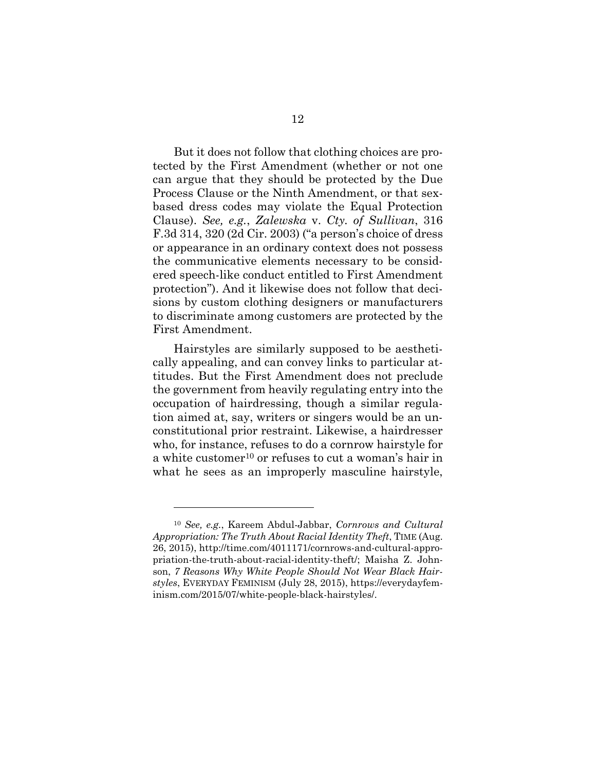But it does not follow that clothing choices are protected by the First Amendment (whether or not one can argue that they should be protected by the Due Process Clause or the Ninth Amendment, or that sexbased dress codes may violate the Equal Protection Clause). *See, e.g.*, *Zalewska* v. *Cty. of Sullivan*, 316 F.3d 314, 320 (2d Cir. 2003) ("a person's choice of dress or appearance in an ordinary context does not possess the communicative elements necessary to be considered speech-like conduct entitled to First Amendment protection"). And it likewise does not follow that decisions by custom clothing designers or manufacturers to discriminate among customers are protected by the First Amendment.

Hairstyles are similarly supposed to be aesthetically appealing, and can convey links to particular attitudes. But the First Amendment does not preclude the government from heavily regulating entry into the occupation of hairdressing, though a similar regulation aimed at, say, writers or singers would be an unconstitutional prior restraint. Likewise, a hairdresser who, for instance, refuses to do a cornrow hairstyle for a white customer<sup>10</sup> or refuses to cut a woman's hair in what he sees as an improperly masculine hairstyle,

<sup>10</sup> *See, e.g.*, Kareem Abdul-Jabbar, *Cornrows and Cultural Appropriation: The Truth About Racial Identity Theft*, TIME (Aug. 26, 2015), http://time.com/4011171/cornrows-and-cultural-appropriation-the-truth-about-racial-identity-theft/; Maisha Z. Johnson, *7 Reasons Why White People Should Not Wear Black Hairstyles*, EVERYDAY FEMINISM (July 28, 2015), https://everydayfeminism.com/2015/07/white-people-black-hairstyles/.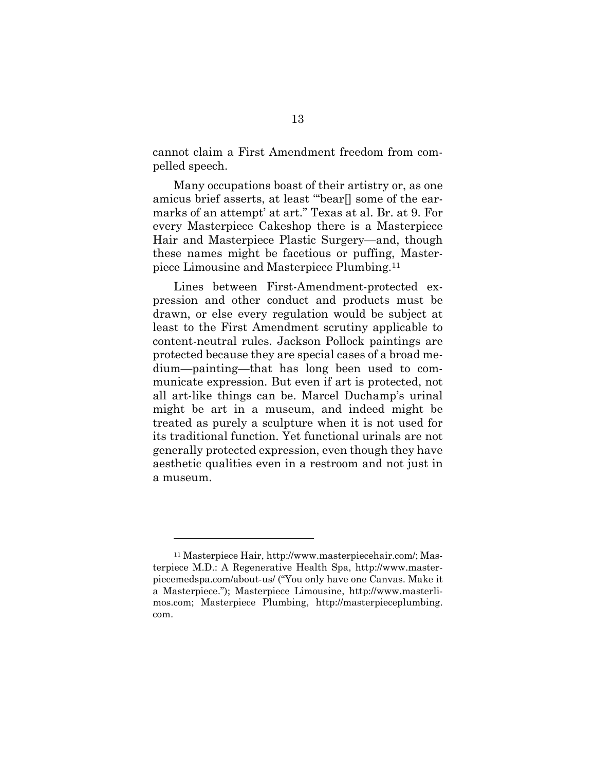cannot claim a First Amendment freedom from compelled speech.

Many occupations boast of their artistry or, as one amicus brief asserts, at least "'bear[] some of the earmarks of an attempt' at art." Texas at al. Br. at 9. For every Masterpiece Cakeshop there is a Masterpiece Hair and Masterpiece Plastic Surgery—and, though these names might be facetious or puffing, Masterpiece Limousine and Masterpiece Plumbing.<sup>11</sup>

Lines between First-Amendment-protected expression and other conduct and products must be drawn, or else every regulation would be subject at least to the First Amendment scrutiny applicable to content-neutral rules. Jackson Pollock paintings are protected because they are special cases of a broad medium—painting—that has long been used to communicate expression. But even if art is protected, not all art-like things can be. Marcel Duchamp's urinal might be art in a museum, and indeed might be treated as purely a sculpture when it is not used for its traditional function. Yet functional urinals are not generally protected expression, even though they have aesthetic qualities even in a restroom and not just in a museum.

<sup>11</sup> Masterpiece Hair, http://www.masterpiecehair.com/; Masterpiece M.D.: A Regenerative Health Spa, http://www.masterpiecemedspa.com/about-us/ ("You only have one Canvas. Make it a Masterpiece."); Masterpiece Limousine, http://www.masterlimos.com; Masterpiece Plumbing, http://masterpieceplumbing. com.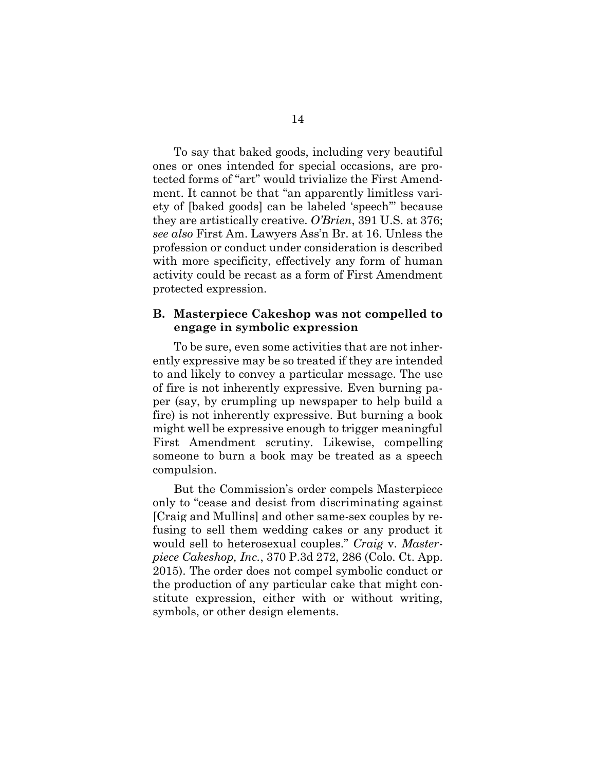To say that baked goods, including very beautiful ones or ones intended for special occasions, are protected forms of "art" would trivialize the First Amendment. It cannot be that "an apparently limitless variety of [baked goods] can be labeled 'speech'" because they are artistically creative. *O'Brien*, 391 U.S. at 376; *see also* First Am. Lawyers Ass'n Br. at 16. Unless the profession or conduct under consideration is described with more specificity, effectively any form of human activity could be recast as a form of First Amendment protected expression.

#### <span id="page-21-0"></span>**B. Masterpiece Cakeshop was not compelled to engage in symbolic expression**

To be sure, even some activities that are not inherently expressive may be so treated if they are intended to and likely to convey a particular message. The use of fire is not inherently expressive. Even burning paper (say, by crumpling up newspaper to help build a fire) is not inherently expressive. But burning a book might well be expressive enough to trigger meaningful First Amendment scrutiny. Likewise, compelling someone to burn a book may be treated as a speech compulsion.

But the Commission's order compels Masterpiece only to "cease and desist from discriminating against [Craig and Mullins] and other same-sex couples by refusing to sell them wedding cakes or any product it would sell to heterosexual couples." *Craig* v. *Masterpiece Cakeshop, Inc.*, 370 P.3d 272, 286 (Colo. Ct. App. 2015). The order does not compel symbolic conduct or the production of any particular cake that might constitute expression, either with or without writing, symbols, or other design elements.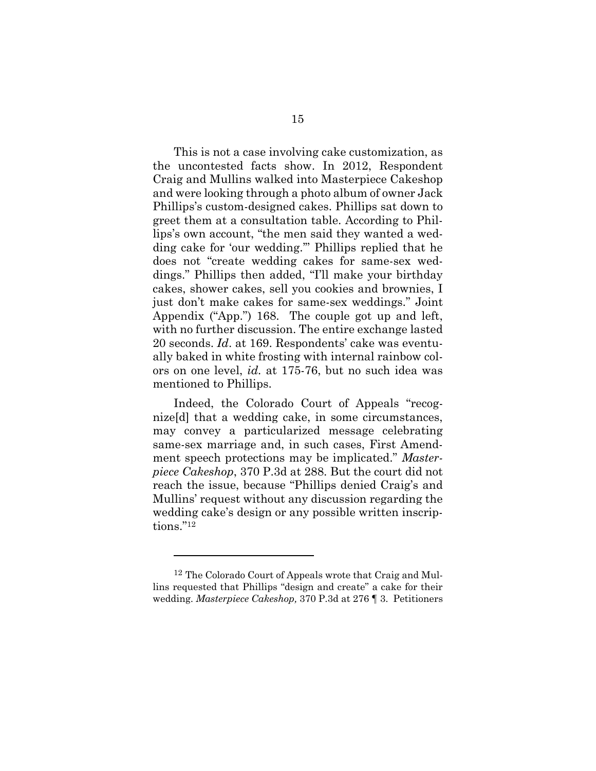This is not a case involving cake customization, as the uncontested facts show. In 2012, Respondent Craig and Mullins walked into Masterpiece Cakeshop and were looking through a photo album of owner Jack Phillips's custom-designed cakes. Phillips sat down to greet them at a consultation table. According to Phillips's own account, "the men said they wanted a wedding cake for 'our wedding.'" Phillips replied that he does not "create wedding cakes for same-sex weddings." Phillips then added, "I'll make your birthday cakes, shower cakes, sell you cookies and brownies, I just don't make cakes for same-sex weddings." Joint Appendix ("App.") 168. The couple got up and left, with no further discussion. The entire exchange lasted 20 seconds. *Id*. at 169. Respondents' cake was eventually baked in white frosting with internal rainbow colors on one level, *id.* at 175-76, but no such idea was mentioned to Phillips.

Indeed, the Colorado Court of Appeals "recognize[d] that a wedding cake, in some circumstances, may convey a particularized message celebrating same-sex marriage and, in such cases, First Amendment speech protections may be implicated." *Masterpiece Cakeshop*, 370 P.3d at 288. But the court did not reach the issue, because "Phillips denied Craig's and Mullins' request without any discussion regarding the wedding cake's design or any possible written inscriptions." 12

<sup>12</sup> The Colorado Court of Appeals wrote that Craig and Mullins requested that Phillips "design and create" a cake for their wedding. *Masterpiece Cakeshop,* 370 P.3d at 276 ¶ 3. Petitioners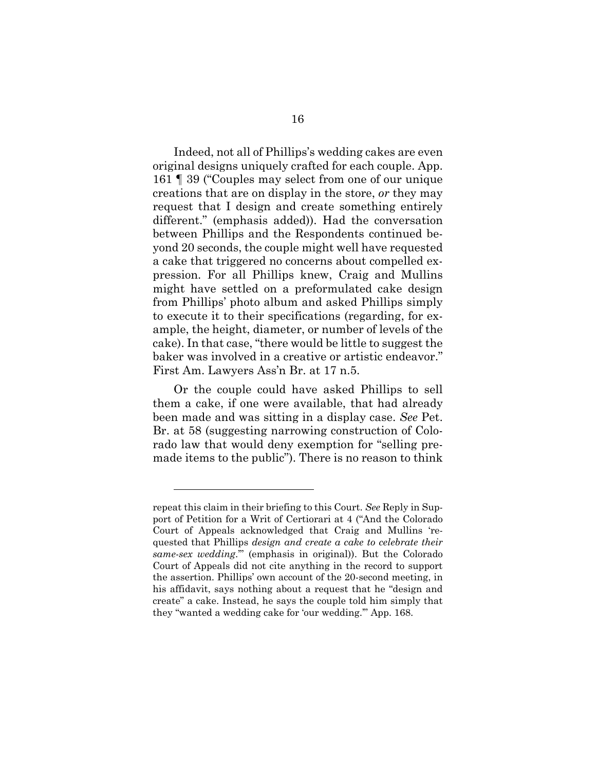Indeed, not all of Phillips's wedding cakes are even original designs uniquely crafted for each couple. App. 161 ¶ 39 ("Couples may select from one of our unique creations that are on display in the store, *or* they may request that I design and create something entirely different." (emphasis added)). Had the conversation between Phillips and the Respondents continued beyond 20 seconds, the couple might well have requested a cake that triggered no concerns about compelled expression. For all Phillips knew, Craig and Mullins might have settled on a preformulated cake design from Phillips' photo album and asked Phillips simply to execute it to their specifications (regarding, for example, the height, diameter, or number of levels of the cake). In that case, "there would be little to suggest the baker was involved in a creative or artistic endeavor." First Am. Lawyers Ass'n Br. at 17 n.5.

Or the couple could have asked Phillips to sell them a cake, if one were available, that had already been made and was sitting in a display case. *See* Pet. Br. at 58 (suggesting narrowing construction of Colorado law that would deny exemption for "selling premade items to the public"). There is no reason to think

repeat this claim in their briefing to this Court. *See* Reply in Support of Petition for a Writ of Certiorari at 4 ("And the Colorado Court of Appeals acknowledged that Craig and Mullins 'requested that Phillips *design and create a cake to celebrate their same-sex wedding*.'" (emphasis in original)). But the Colorado Court of Appeals did not cite anything in the record to support the assertion. Phillips' own account of the 20-second meeting, in his affidavit, says nothing about a request that he "design and create" a cake. Instead, he says the couple told him simply that they "wanted a wedding cake for 'our wedding.'" App. 168.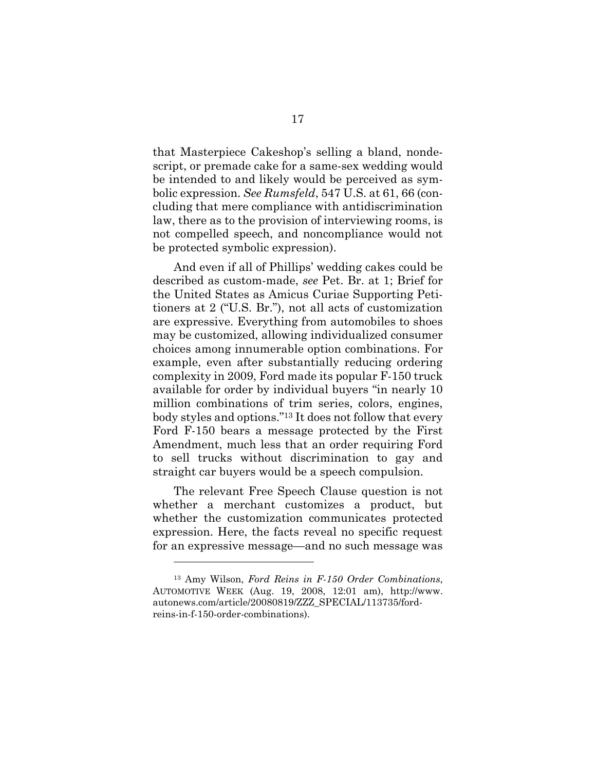that Masterpiece Cakeshop's selling a bland, nondescript, or premade cake for a same-sex wedding would be intended to and likely would be perceived as symbolic expression. *See Rumsfeld*, 547 U.S. at 61, 66 (concluding that mere compliance with antidiscrimination law, there as to the provision of interviewing rooms, is not compelled speech, and noncompliance would not be protected symbolic expression).

And even if all of Phillips' wedding cakes could be described as custom-made, *see* Pet. Br. at 1; Brief for the United States as Amicus Curiae Supporting Petitioners at 2 ("U.S. Br."), not all acts of customization are expressive. Everything from automobiles to shoes may be customized, allowing individualized consumer choices among innumerable option combinations. For example, even after substantially reducing ordering complexity in 2009, Ford made its popular F-150 truck available for order by individual buyers "in nearly 10 million combinations of trim series, colors, engines, body styles and options." <sup>13</sup> It does not follow that every Ford F-150 bears a message protected by the First Amendment, much less that an order requiring Ford to sell trucks without discrimination to gay and straight car buyers would be a speech compulsion.

The relevant Free Speech Clause question is not whether a merchant customizes a product, but whether the customization communicates protected expression. Here, the facts reveal no specific request for an expressive message—and no such message was

<sup>13</sup> Amy Wilson, *Ford Reins in F-150 Order Combinations*, AUTOMOTIVE WEEK (Aug. 19, 2008, 12:01 am), [http://www.](http://www.autonews.com/article/20080819/ZZZ_SPECIAL/113735/ford-reins-in-f-150-order-combinations) [autonews.com/article/20080819/ZZZ\\_SPECIAL/113735/ford](http://www.autonews.com/article/20080819/ZZZ_SPECIAL/113735/ford-reins-in-f-150-order-combinations)[reins-in-f-150-order-combinations\)](http://www.autonews.com/article/20080819/ZZZ_SPECIAL/113735/ford-reins-in-f-150-order-combinations).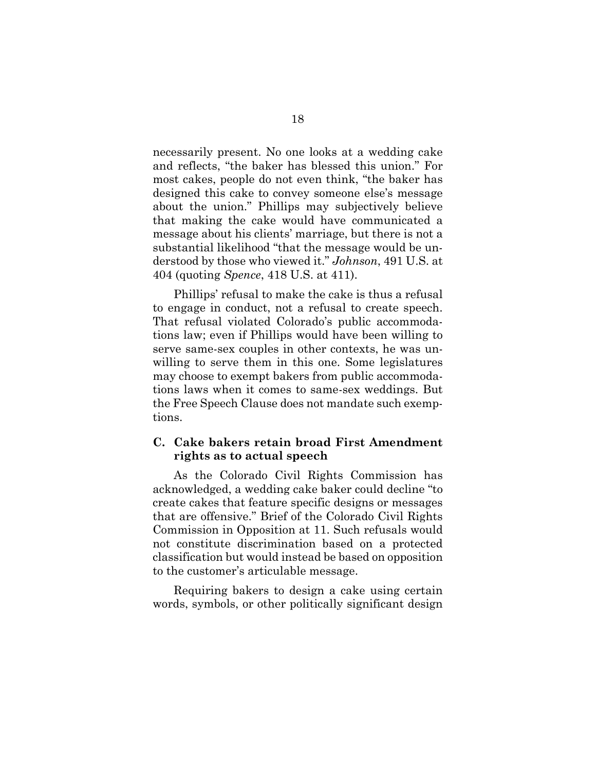necessarily present. No one looks at a wedding cake and reflects, "the baker has blessed this union." For most cakes, people do not even think, "the baker has designed this cake to convey someone else's message about the union." Phillips may subjectively believe that making the cake would have communicated a message about his clients' marriage, but there is not a substantial likelihood "that the message would be understood by those who viewed it." *Johnson*, 491 U.S. at 404 (quoting *Spence*, 418 U.S. at 411).

Phillips' refusal to make the cake is thus a refusal to engage in conduct, not a refusal to create speech. That refusal violated Colorado's public accommodations law; even if Phillips would have been willing to serve same-sex couples in other contexts, he was unwilling to serve them in this one. Some legislatures may choose to exempt bakers from public accommodations laws when it comes to same-sex weddings. But the Free Speech Clause does not mandate such exemptions.

### <span id="page-25-0"></span>**C. Cake bakers retain broad First Amendment rights as to actual speech**

As the Colorado Civil Rights Commission has acknowledged, a wedding cake baker could decline "to create cakes that feature specific designs or messages that are offensive." Brief of the Colorado Civil Rights Commission in Opposition at 11. Such refusals would not constitute discrimination based on a protected classification but would instead be based on opposition to the customer's articulable message.

Requiring bakers to design a cake using certain words, symbols, or other politically significant design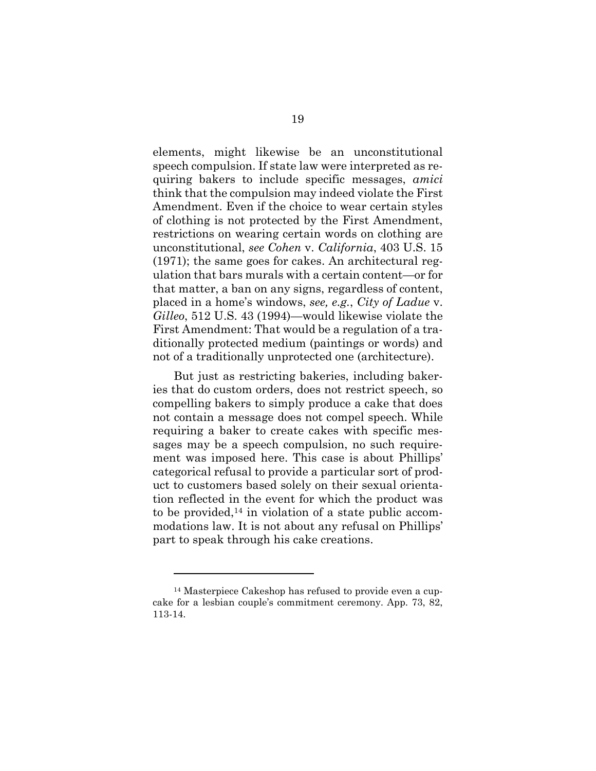elements, might likewise be an unconstitutional speech compulsion. If state law were interpreted as requiring bakers to include specific messages, *amici* think that the compulsion may indeed violate the First Amendment. Even if the choice to wear certain styles of clothing is not protected by the First Amendment, restrictions on wearing certain words on clothing are unconstitutional, *see Cohen* v. *California*, 403 U.S. 15 (1971); the same goes for cakes. An architectural regulation that bars murals with a certain content—or for that matter, a ban on any signs, regardless of content, placed in a home's windows, *see, e.g.*, *City of Ladue* v. *Gilleo*, 512 U.S. 43 (1994)—would likewise violate the First Amendment: That would be a regulation of a traditionally protected medium (paintings or words) and not of a traditionally unprotected one (architecture).

But just as restricting bakeries, including bakeries that do custom orders, does not restrict speech, so compelling bakers to simply produce a cake that does not contain a message does not compel speech. While requiring a baker to create cakes with specific messages may be a speech compulsion, no such requirement was imposed here. This case is about Phillips' categorical refusal to provide a particular sort of product to customers based solely on their sexual orientation reflected in the event for which the product was to be provided,<sup>14</sup> in violation of a state public accommodations law. It is not about any refusal on Phillips' part to speak through his cake creations.

<sup>14</sup> Masterpiece Cakeshop has refused to provide even a cupcake for a lesbian couple's commitment ceremony. App. 73, 82, 113-14.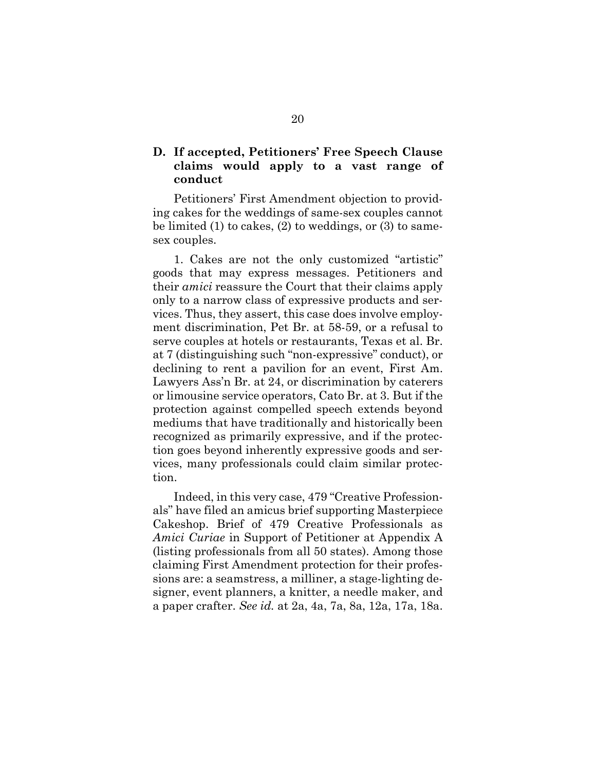## <span id="page-27-0"></span>**D. If accepted, Petitioners' Free Speech Clause claims would apply to a vast range of conduct**

Petitioners' First Amendment objection to providing cakes for the weddings of same-sex couples cannot be limited (1) to cakes, (2) to weddings, or (3) to samesex couples.

1. Cakes are not the only customized "artistic" goods that may express messages. Petitioners and their *amici* reassure the Court that their claims apply only to a narrow class of expressive products and services. Thus, they assert, this case does involve employment discrimination, Pet Br. at 58-59, or a refusal to serve couples at hotels or restaurants, Texas et al. Br. at 7 (distinguishing such "non-expressive" conduct), or declining to rent a pavilion for an event, First Am. Lawyers Ass'n Br. at 24, or discrimination by caterers or limousine service operators, Cato Br. at 3. But if the protection against compelled speech extends beyond mediums that have traditionally and historically been recognized as primarily expressive, and if the protection goes beyond inherently expressive goods and services, many professionals could claim similar protection.

Indeed, in this very case, 479 "Creative Professionals" have filed an amicus brief supporting Masterpiece Cakeshop. Brief of 479 Creative Professionals as *Amici Curiae* in Support of Petitioner at Appendix A (listing professionals from all 50 states). Among those claiming First Amendment protection for their professions are: a seamstress, a milliner, a stage-lighting designer, event planners, a knitter, a needle maker, and a paper crafter. *See id.* at 2a, 4a, 7a, 8a, 12a, 17a, 18a.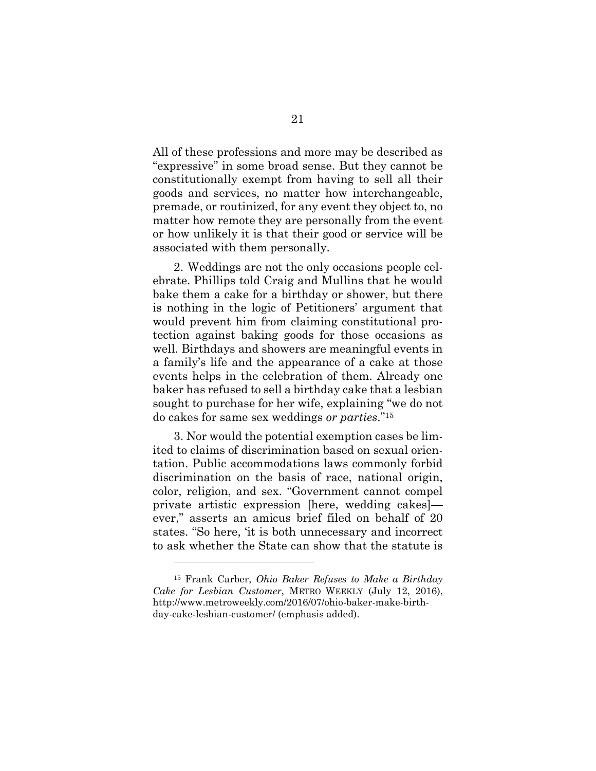All of these professions and more may be described as "expressive" in some broad sense. But they cannot be constitutionally exempt from having to sell all their goods and services, no matter how interchangeable, premade, or routinized, for any event they object to, no matter how remote they are personally from the event or how unlikely it is that their good or service will be associated with them personally.

2. Weddings are not the only occasions people celebrate. Phillips told Craig and Mullins that he would bake them a cake for a birthday or shower, but there is nothing in the logic of Petitioners' argument that would prevent him from claiming constitutional protection against baking goods for those occasions as well. Birthdays and showers are meaningful events in a family's life and the appearance of a cake at those events helps in the celebration of them. Already one baker has refused to sell a birthday cake that a lesbian sought to purchase for her wife, explaining "we do not do cakes for same sex weddings *or parties*." 15

3. Nor would the potential exemption cases be limited to claims of discrimination based on sexual orientation. Public accommodations laws commonly forbid discrimination on the basis of race, national origin, color, religion, and sex. "Government cannot compel private artistic expression [here, wedding cakes] ever," asserts an amicus brief filed on behalf of 20 states. "So here, 'it is both unnecessary and incorrect to ask whether the State can show that the statute is

<sup>15</sup> Frank Carber, *Ohio Baker Refuses to Make a Birthday Cake for Lesbian Customer*, METRO WEEKLY (July 12, 2016), http://www.metroweekly.com/2016/07/ohio-baker-make-birthday-cake-lesbian-customer/ (emphasis added).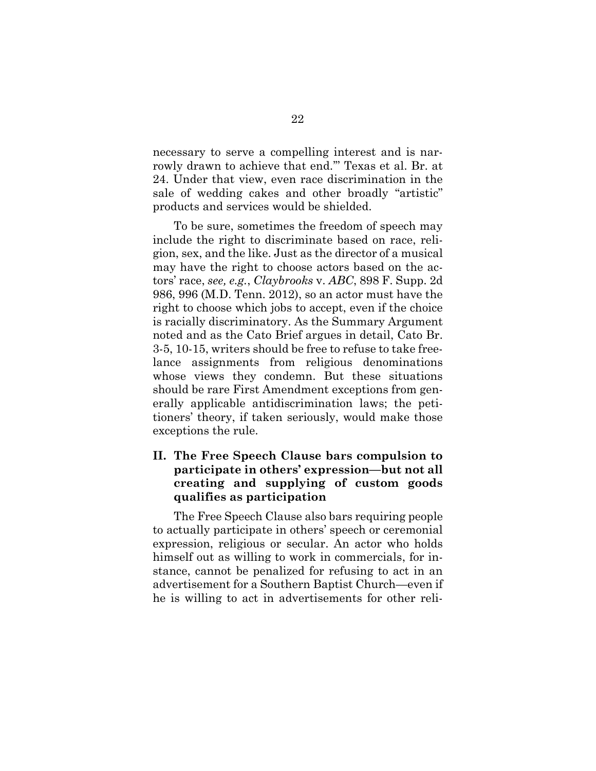necessary to serve a compelling interest and is narrowly drawn to achieve that end.'" Texas et al. Br. at 24. Under that view, even race discrimination in the sale of wedding cakes and other broadly "artistic" products and services would be shielded.

To be sure, sometimes the freedom of speech may include the right to discriminate based on race, religion, sex, and the like. Just as the director of a musical may have the right to choose actors based on the actors' race, *see, e.g.*, *Claybrooks* v. *ABC*, 898 F. Supp. 2d 986, 996 (M.D. Tenn. 2012), so an actor must have the right to choose which jobs to accept, even if the choice is racially discriminatory. As the Summary Argument noted and as the Cato Brief argues in detail, Cato Br. 3-5, 10-15, writers should be free to refuse to take freelance assignments from religious denominations whose views they condemn. But these situations should be rare First Amendment exceptions from generally applicable antidiscrimination laws; the petitioners' theory, if taken seriously, would make those exceptions the rule.

## <span id="page-29-0"></span>**II. The Free Speech Clause bars compulsion to participate in others' expression—but not all creating and supplying of custom goods qualifies as participation**

The Free Speech Clause also bars requiring people to actually participate in others' speech or ceremonial expression, religious or secular. An actor who holds himself out as willing to work in commercials, for instance, cannot be penalized for refusing to act in an advertisement for a Southern Baptist Church—even if he is willing to act in advertisements for other reli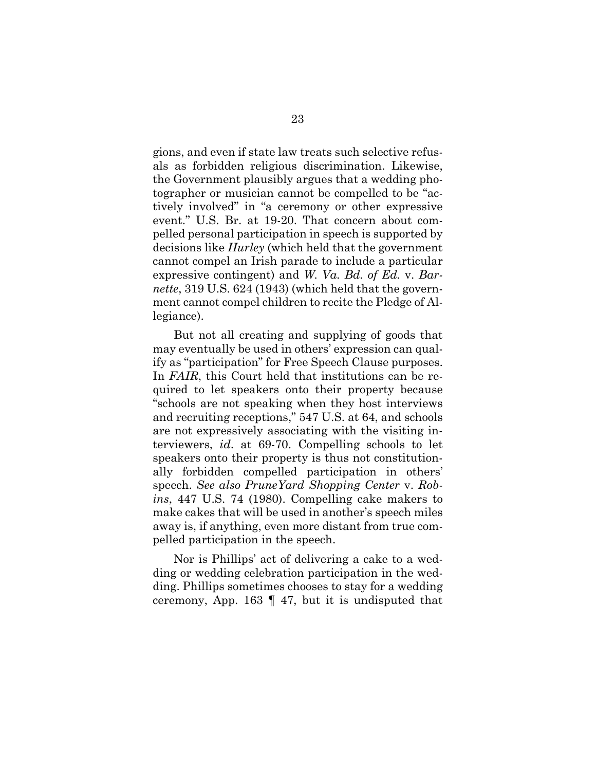gions, and even if state law treats such selective refusals as forbidden religious discrimination. Likewise, the Government plausibly argues that a wedding photographer or musician cannot be compelled to be "actively involved" in "a ceremony or other expressive event." U.S. Br. at 19-20. That concern about compelled personal participation in speech is supported by decisions like *Hurley* (which held that the government cannot compel an Irish parade to include a particular expressive contingent) and *W. Va. Bd. of Ed.* v. *Barnette*, 319 U.S. 624 (1943) (which held that the government cannot compel children to recite the Pledge of Allegiance).

But not all creating and supplying of goods that may eventually be used in others' expression can qualify as "participation" for Free Speech Clause purposes. In *FAIR*, this Court held that institutions can be required to let speakers onto their property because "schools are not speaking when they host interviews and recruiting receptions," 547 U.S. at 64, and schools are not expressively associating with the visiting interviewers, *id*. at 69-70. Compelling schools to let speakers onto their property is thus not constitutionally forbidden compelled participation in others' speech. *See also PruneYard Shopping Center* v. *Robins*, 447 U.S. 74 (1980). Compelling cake makers to make cakes that will be used in another's speech miles away is, if anything, even more distant from true compelled participation in the speech.

Nor is Phillips' act of delivering a cake to a wedding or wedding celebration participation in the wedding. Phillips sometimes chooses to stay for a wedding ceremony, App. 163 ¶ 47, but it is undisputed that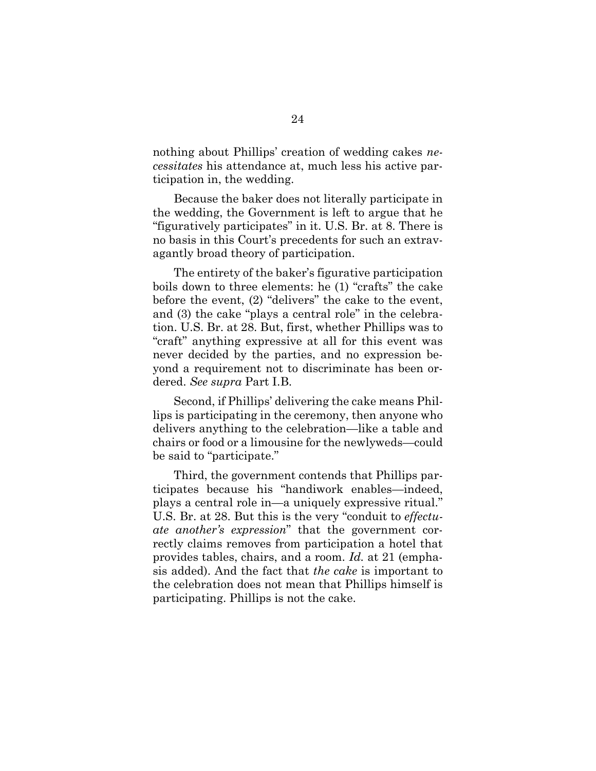nothing about Phillips' creation of wedding cakes *necessitates* his attendance at, much less his active participation in, the wedding.

Because the baker does not literally participate in the wedding, the Government is left to argue that he "figuratively participates" in it. U.S. Br. at 8. There is no basis in this Court's precedents for such an extravagantly broad theory of participation.

The entirety of the baker's figurative participation boils down to three elements: he (1) "crafts" the cake before the event, (2) "delivers" the cake to the event, and (3) the cake "plays a central role" in the celebration. U.S. Br. at 28. But, first, whether Phillips was to "craft" anything expressive at all for this event was never decided by the parties, and no expression beyond a requirement not to discriminate has been ordered. *See supra* Part I.B.

Second, if Phillips' delivering the cake means Phillips is participating in the ceremony, then anyone who delivers anything to the celebration—like a table and chairs or food or a limousine for the newlyweds—could be said to "participate."

Third, the government contends that Phillips participates because his "handiwork enables—indeed, plays a central role in—a uniquely expressive ritual." U.S. Br. at 28. But this is the very "conduit to *effectuate another's expression*" that the government correctly claims removes from participation a hotel that provides tables, chairs, and a room. *Id.* at 21 (emphasis added). And the fact that *the cake* is important to the celebration does not mean that Phillips himself is participating. Phillips is not the cake.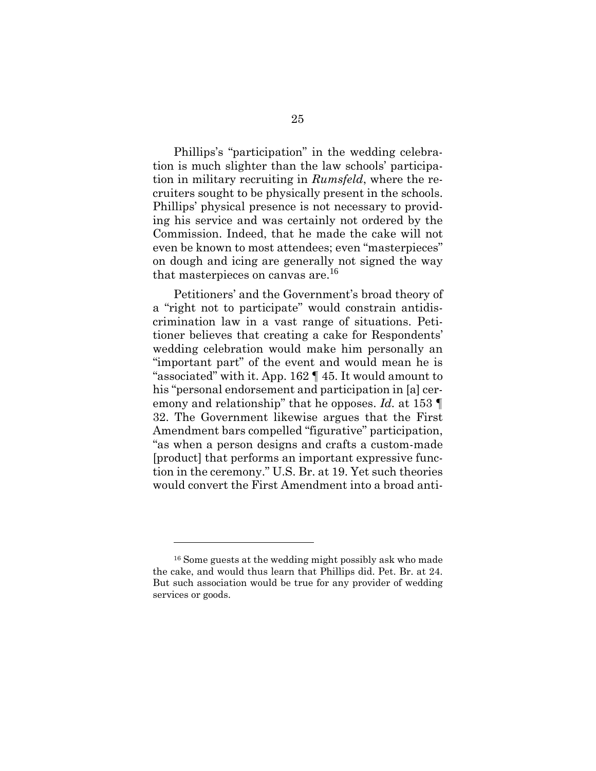Phillips's "participation" in the wedding celebration is much slighter than the law schools' participation in military recruiting in *Rumsfeld*, where the recruiters sought to be physically present in the schools. Phillips' physical presence is not necessary to providing his service and was certainly not ordered by the Commission. Indeed, that he made the cake will not even be known to most attendees; even "masterpieces" on dough and icing are generally not signed the way that masterpieces on canvas are. 16

Petitioners' and the Government's broad theory of a "right not to participate" would constrain antidiscrimination law in a vast range of situations. Petitioner believes that creating a cake for Respondents' wedding celebration would make him personally an "important part" of the event and would mean he is "associated" with it. App. 162 ¶ 45. It would amount to his "personal endorsement and participation in [a] ceremony and relationship" that he opposes. *Id.* at 153 ¶ 32. The Government likewise argues that the First Amendment bars compelled "figurative" participation, "as when a person designs and crafts a custom-made [product] that performs an important expressive function in the ceremony." U.S. Br. at 19. Yet such theories would convert the First Amendment into a broad anti-

<sup>16</sup> Some guests at the wedding might possibly ask who made the cake, and would thus learn that Phillips did. Pet. Br. at 24. But such association would be true for any provider of wedding services or goods.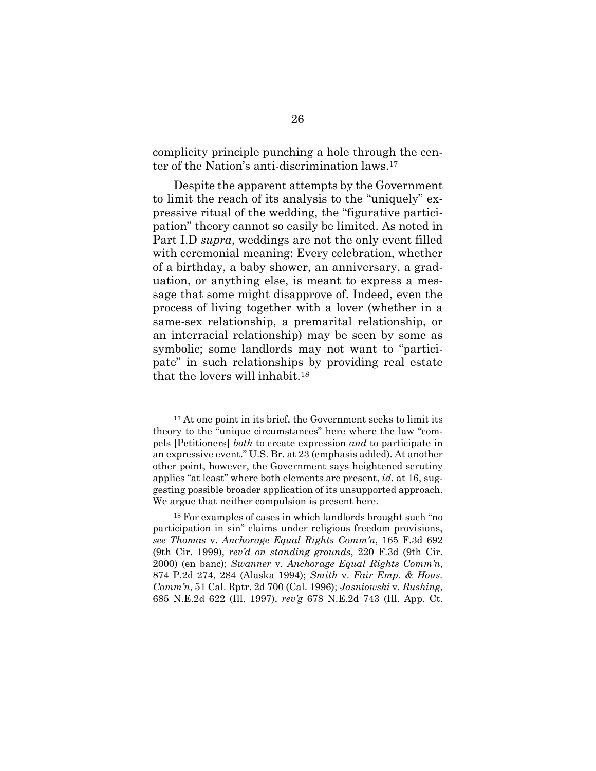complicity principle punching a hole through the center of the Nation's anti-discrimination laws.<sup>17</sup>

Despite the apparent attempts by the Government to limit the reach of its analysis to the "uniquely" expressive ritual of the wedding, the "figurative participation" theory cannot so easily be limited. As noted in Part I.D *supra*, weddings are not the only event filled with ceremonial meaning: Every celebration, whether of a birthday, a baby shower, an anniversary, a graduation, or anything else, is meant to express a message that some might disapprove of. Indeed, even the process of living together with a lover (whether in a same-sex relationship, a premarital relationship, or an interracial relationship) may be seen by some as symbolic; some landlords may not want to "participate" in such relationships by providing real estate that the lovers will inhabit.<sup>18</sup>

<sup>&</sup>lt;sup>17</sup> At one point in its brief, the Government seeks to limit its theory to the "unique circumstances" here where the law "compels [Petitioners] *both* to create expression *and* to participate in an expressive event." U.S. Br. at 23 (emphasis added). At another other point, however, the Government says heightened scrutiny applies "at least" where both elements are present, *id.* at 16, suggesting possible broader application of its unsupported approach. We argue that neither compulsion is present here.

<sup>18</sup> For examples of cases in which landlords brought such "no participation in sin" claims under religious freedom provisions, *see Thomas* v. *Anchorage Equal Rights Comm'n*, 165 F.3d 692 (9th Cir. 1999), *rev'd on standing grounds*, 220 F.3d (9th Cir. 2000) (en banc); *Swanner* v. *Anchorage Equal Rights Comm'n*, 874 P.2d 274, 284 (Alaska 1994); *Smith* v. *Fair Emp. & Hous. Comm'n*, 51 Cal. Rptr. 2d 700 (Cal. 1996); *Jasniowski* v. *Rushing*, 685 N.E.2d 622 (Ill. 1997), *rev'g* 678 N.E.2d 743 (Ill. App. Ct.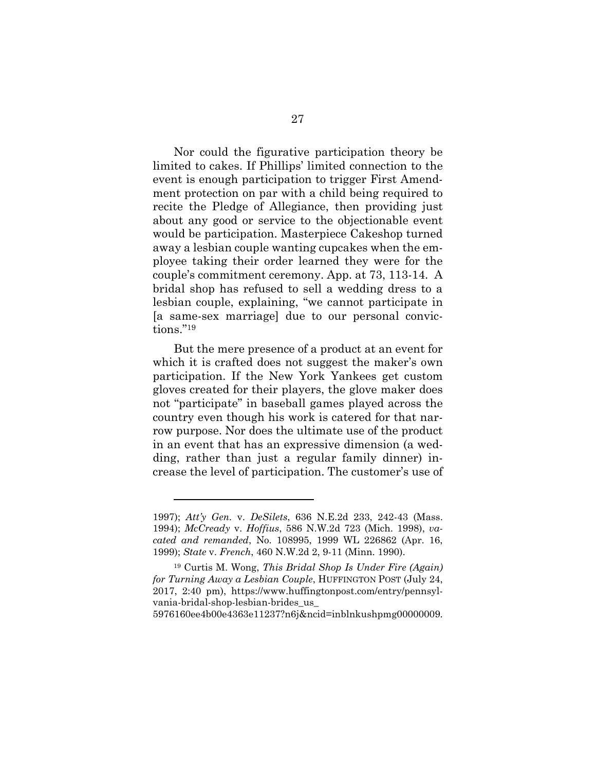Nor could the figurative participation theory be limited to cakes. If Phillips' limited connection to the event is enough participation to trigger First Amendment protection on par with a child being required to recite the Pledge of Allegiance, then providing just about any good or service to the objectionable event would be participation. Masterpiece Cakeshop turned away a lesbian couple wanting cupcakes when the employee taking their order learned they were for the couple's commitment ceremony. App. at 73, 113-14. A bridal shop has refused to sell a wedding dress to a lesbian couple, explaining, "we cannot participate in [a same-sex marriage] due to our personal convictions." 19

But the mere presence of a product at an event for which it is crafted does not suggest the maker's own participation. If the New York Yankees get custom gloves created for their players, the glove maker does not "participate" in baseball games played across the country even though his work is catered for that narrow purpose. Nor does the ultimate use of the product in an event that has an expressive dimension (a wedding, rather than just a regular family dinner) increase the level of participation. The customer's use of

5976160ee4b00e4363e11237?n6j&ncid=inblnkushpmg00000009.

<sup>1997);</sup> *Att'y Gen.* v. *DeSilets*, 636 N.E.2d 233, 242-43 (Mass. 1994); *McCready* v. *Hoffius*, 586 N.W.2d 723 (Mich. 1998), *vacated and remanded*, No. 108995, 1999 WL 226862 (Apr. 16, 1999); *State* v. *French*, 460 N.W.2d 2, 9-11 (Minn. 1990).

<sup>19</sup> Curtis M. Wong, *This Bridal Shop Is Under Fire (Again) for Turning Away a Lesbian Couple*, HUFFINGTON POST (July 24, 2017, 2:40 pm), https://www.huffingtonpost.com/entry/pennsylvania-bridal-shop-lesbian-brides\_us\_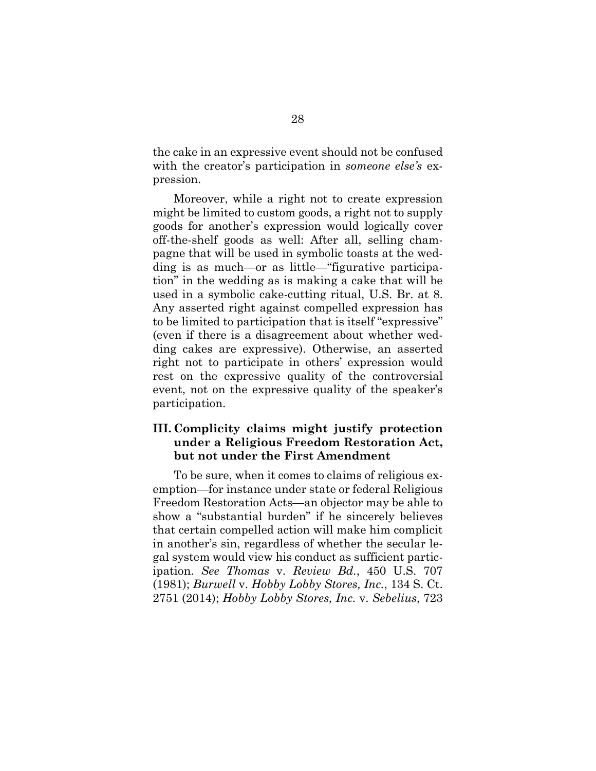the cake in an expressive event should not be confused with the creator's participation in *someone else's* expression.

Moreover, while a right not to create expression might be limited to custom goods, a right not to supply goods for another's expression would logically cover off-the-shelf goods as well: After all, selling champagne that will be used in symbolic toasts at the wedding is as much—or as little—"figurative participation" in the wedding as is making a cake that will be used in a symbolic cake-cutting ritual, U.S. Br. at 8. Any asserted right against compelled expression has to be limited to participation that is itself "expressive" (even if there is a disagreement about whether wedding cakes are expressive). Otherwise, an asserted right not to participate in others' expression would rest on the expressive quality of the controversial event, not on the expressive quality of the speaker's participation.

### <span id="page-35-0"></span>**III. Complicity claims might justify protection under a Religious Freedom Restoration Act, but not under the First Amendment**

To be sure, when it comes to claims of religious exemption—for instance under state or federal Religious Freedom Restoration Acts—an objector may be able to show a "substantial burden" if he sincerely believes that certain compelled action will make him complicit in another's sin, regardless of whether the secular legal system would view his conduct as sufficient participation. *See Thomas* v. *Review Bd.*, 450 U.S. 707 (1981); *Burwell* v. *Hobby Lobby Stores, Inc.*, 134 S. Ct. 2751 (2014); *Hobby Lobby Stores, Inc.* v. *Sebelius*, 723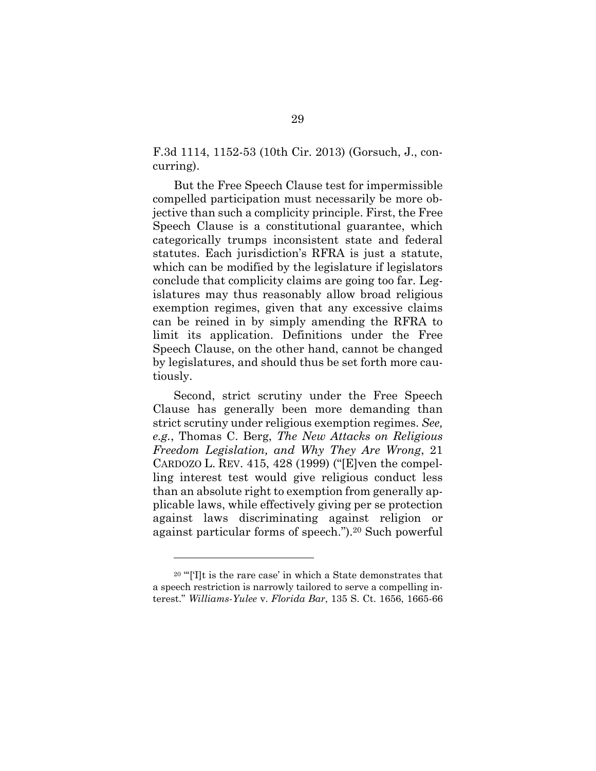F.3d 1114, 1152-53 (10th Cir. 2013) (Gorsuch, J., concurring).

But the Free Speech Clause test for impermissible compelled participation must necessarily be more objective than such a complicity principle. First, the Free Speech Clause is a constitutional guarantee, which categorically trumps inconsistent state and federal statutes. Each jurisdiction's RFRA is just a statute, which can be modified by the legislature if legislators conclude that complicity claims are going too far. Legislatures may thus reasonably allow broad religious exemption regimes, given that any excessive claims can be reined in by simply amending the RFRA to limit its application. Definitions under the Free Speech Clause, on the other hand, cannot be changed by legislatures, and should thus be set forth more cautiously.

Second, strict scrutiny under the Free Speech Clause has generally been more demanding than strict scrutiny under religious exemption regimes. *See, e.g.*, Thomas C. Berg, *The New Attacks on Religious Freedom Legislation, and Why They Are Wrong*, 21 CARDOZO L. REV. 415, 428 (1999) ("[E]ven the compelling interest test would give religious conduct less than an absolute right to exemption from generally applicable laws, while effectively giving per se protection against laws discriminating against religion or against particular forms of speech.").<sup>20</sup> Such powerful

<sup>20</sup> "'['I]t is the rare case' in which a State demonstrates that a speech restriction is narrowly tailored to serve a compelling interest." *Williams-Yulee* v. *Florida Bar*, 135 S. Ct. 1656, 1665-66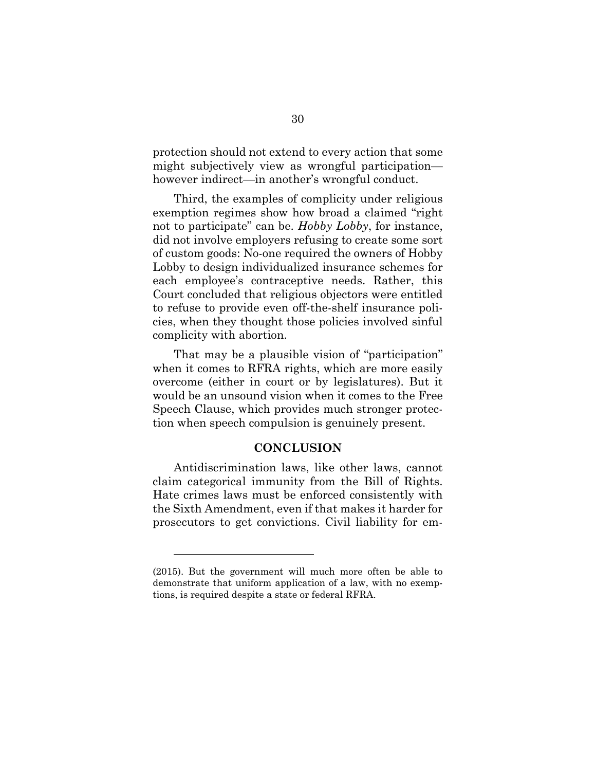protection should not extend to every action that some might subjectively view as wrongful participation however indirect—in another's wrongful conduct.

Third, the examples of complicity under religious exemption regimes show how broad a claimed "right not to participate" can be. *Hobby Lobby*, for instance, did not involve employers refusing to create some sort of custom goods: No-one required the owners of Hobby Lobby to design individualized insurance schemes for each employee's contraceptive needs. Rather, this Court concluded that religious objectors were entitled to refuse to provide even off-the-shelf insurance policies, when they thought those policies involved sinful complicity with abortion.

That may be a plausible vision of "participation" when it comes to RFRA rights, which are more easily overcome (either in court or by legislatures). But it would be an unsound vision when it comes to the Free Speech Clause, which provides much stronger protection when speech compulsion is genuinely present.

#### **CONCLUSION**

<span id="page-37-0"></span>Antidiscrimination laws, like other laws, cannot claim categorical immunity from the Bill of Rights. Hate crimes laws must be enforced consistently with the Sixth Amendment, even if that makes it harder for prosecutors to get convictions. Civil liability for em-

<sup>(2015).</sup> But the government will much more often be able to demonstrate that uniform application of a law, with no exemptions, is required despite a state or federal RFRA.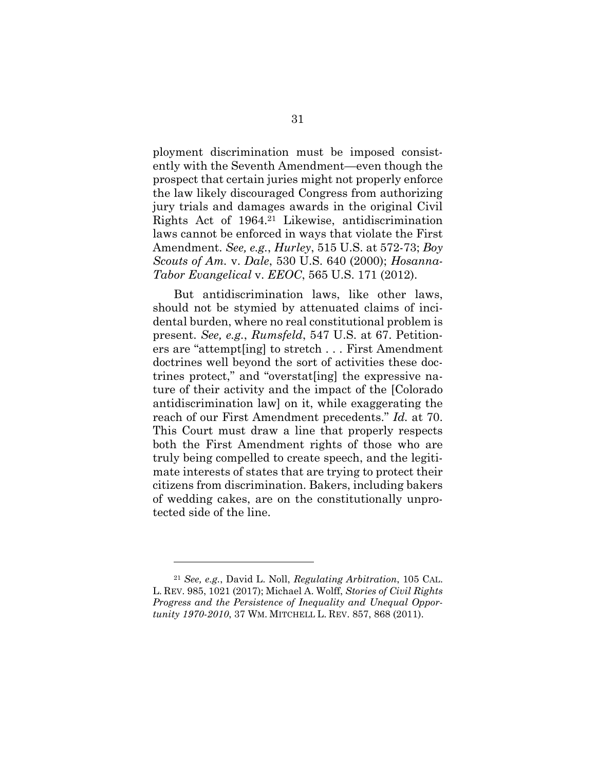ployment discrimination must be imposed consistently with the Seventh Amendment—even though the prospect that certain juries might not properly enforce the law likely discouraged Congress from authorizing jury trials and damages awards in the original Civil Rights Act of 1964.<sup>21</sup> Likewise, antidiscrimination laws cannot be enforced in ways that violate the First Amendment. *See, e.g.*, *Hurley*, 515 U.S. at 572-73; *Boy Scouts of Am.* v. *Dale*, 530 U.S. 640 (2000); *Hosanna-Tabor Evangelical* v. *EEOC*, 565 U.S. 171 (2012).

But antidiscrimination laws, like other laws, should not be stymied by attenuated claims of incidental burden, where no real constitutional problem is present. *See, e.g.*, *Rumsfeld*, 547 U.S. at 67. Petitioners are "attempt[ing] to stretch . . . First Amendment doctrines well beyond the sort of activities these doctrines protect," and "overstat[ing] the expressive nature of their activity and the impact of the [Colorado antidiscrimination law] on it, while exaggerating the reach of our First Amendment precedents." *Id.* at 70. This Court must draw a line that properly respects both the First Amendment rights of those who are truly being compelled to create speech, and the legitimate interests of states that are trying to protect their citizens from discrimination. Bakers, including bakers of wedding cakes, are on the constitutionally unprotected side of the line.

<sup>21</sup> *See, e.g.*, David L. Noll, *Regulating Arbitration*, 105 CAL. L. REV. 985, 1021 (2017); Michael A. Wolff, *Stories of Civil Rights Progress and the Persistence of Inequality and Unequal Opportunity 1970-2010*, 37 WM. MITCHELL L. REV. 857, 868 (2011).